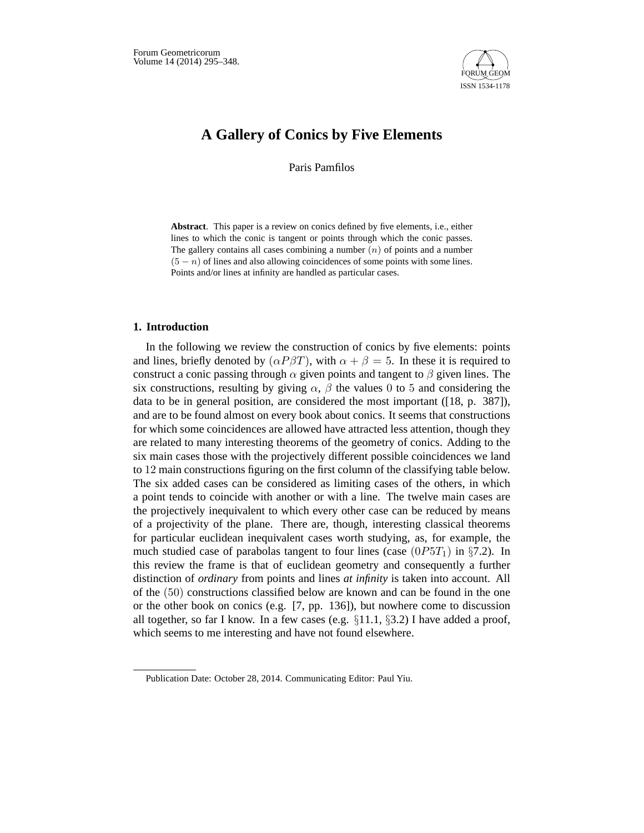

# **A Gallery of Conics by Five Elements**

Paris Pamfilos

**Abstract**. This paper is a review on conics defined by five elements, i.e., either lines to which the conic is tangent or points through which the conic passes. The gallery contains all cases combining a number  $(n)$  of points and a number  $(5 - n)$  of lines and also allowing coincidences of some points with some lines. Points and/or lines at infinity are handled as particular cases.

## **1. Introduction**

In the following we review the construction of conics by five elements: points and lines, briefly denoted by  $(\alpha P \beta T)$ , with  $\alpha + \beta = 5$ . In these it is required to construct a conic passing through  $\alpha$  given points and tangent to  $\beta$  given lines. The six constructions, resulting by giving  $\alpha$ ,  $\beta$  the values 0 to 5 and considering the data to be in general position, are considered the most important ([18, p. 387]), and are to be found almost on every book about conics. It seems that constructions for which some coincidences are allowed have attracted less attention, though they are related to many interesting theorems of the geometry of conics. Adding to the six main cases those with the projectively different possible coincidences we land to 12 main constructions figuring on the first column of the classifying table below. The six added cases can be considered as limiting cases of the others, in which a point tends to coincide with another or with a line. The twelve main cases are the projectively inequivalent to which every other case can be reduced by means of a projectivity of the plane. There are, though, interesting classical theorems for particular euclidean inequivalent cases worth studying, as, for example, the much studied case of parabolas tangent to four lines (case  $(0P5T_1)$  in §7.2). In this review the frame is that of euclidean geometry and consequently a further distinction of *ordinary* from points and lines *at infinity* is taken into account. All of the (50) constructions classified below are known and can be found in the one or the other book on conics (e.g. [7, pp. 136]), but nowhere come to discussion all together, so far I know. In a few cases (e.g. §11.1, §3.2) I have added a proof, which seems to me interesting and have not found elsewhere.

Publication Date: October 28, 2014. Communicating Editor: Paul Yiu.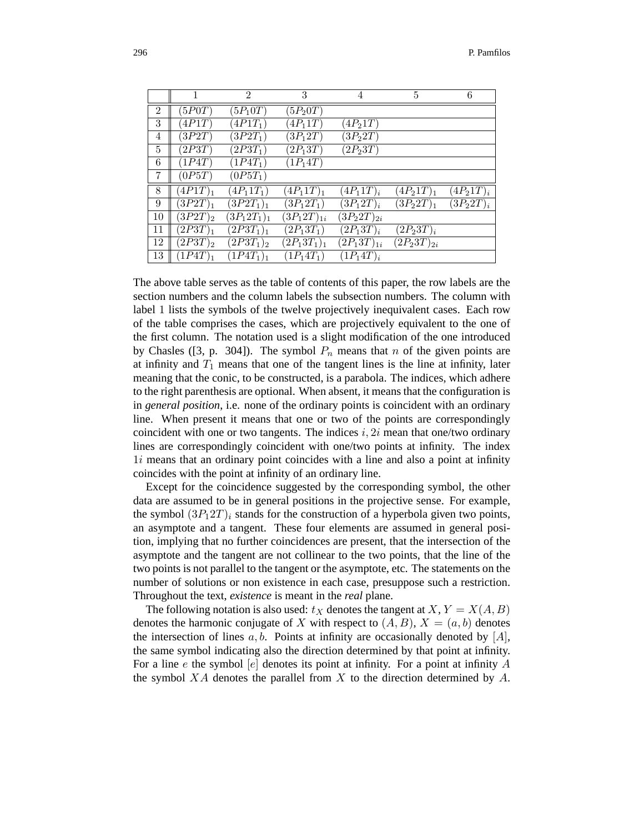|                | 1          | 2              | 3               | 4                 | 5               | 6            |
|----------------|------------|----------------|-----------------|-------------------|-----------------|--------------|
| $\overline{2}$ | (5P0T)     | $(5P_10T)$     | $(5P_20T)$      |                   |                 |              |
| 3              | (4P1T)     | $(4P1T_1)$     | $(4P_11T)$      | $(4P_21T)$        |                 |              |
| 4              | (3P2T)     | $(3P2T_1)$     | $(3P_12T)$      | $(3P_22T)$        |                 |              |
| 5              | (2P3T)     | $(2P3T_1)$     | $(2P_13T)$      | $(2P_23T)$        |                 |              |
| 6              | (1P4T)     | $(1P4T_1)$     | $(1P_14T)$      |                   |                 |              |
| 7              | (0P5T)     | $(0P5T_1)$     |                 |                   |                 |              |
| 8              | $(4P1T)_1$ | $(4P_11T_1)$   | $(4P_11T)_1$    | $(4P_11T)_i$      | $(4P_21T)_1$    | $(4P_21T)_i$ |
| 9              | $(3P2T)_1$ | $(3P2T_1)_1$   | $(3P_12T_1)$    | $(3P_12T)_i$      | $(3P_22T)_1$    | $(3P_22T)_i$ |
| 10             | $(3P2T)_2$ | $(3P_12T_1)_1$ | $(3P_12T)_{1i}$ | $(3P_{2}2T)_{2i}$ |                 |              |
| 11             | $(2P3T)_1$ | $(2P3T_1)_1$   | $(2P_13T_1)$    | $(2P_13T)_i$      | $(2P_23T)_i$    |              |
| 12             | $(2P3T)_2$ | $(2P3T_1)_2$   | $(2P_13T_1)_1$  | $(2P_13T)_{1i}$   | $(2P_23T)_{2i}$ |              |
| 13             | $(1P4T)_1$ | $(1P4T_1)_1$   | $(1P_14T_1)$    | $(1P_14T)_i$      |                 |              |
|                |            |                |                 |                   |                 |              |

The above table serves as the table of contents of this paper, the row labels are the section numbers and the column labels the subsection numbers. The column with label 1 lists the symbols of the twelve projectively inequivalent cases. Each row of the table comprises the cases, which are projectively equivalent to the one of the first column. The notation used is a slight modification of the one introduced by Chasles ([3, p. 304]). The symbol  $P_n$  means that n of the given points are at infinity and  $T_1$  means that one of the tangent lines is the line at infinity, later meaning that the conic, to be constructed, is a parabola. The indices, which adhere to the right parenthesis are optional. When absent, it means that the configuration is in *general position*, i.e. none of the ordinary points is coincident with an ordinary line. When present it means that one or two of the points are correspondingly coincident with one or two tangents. The indices i,  $2i$  mean that one/two ordinary lines are correspondingly coincident with one/two points at infinity. The index 1i means that an ordinary point coincides with a line and also a point at infinity coincides with the point at infinity of an ordinary line.

Except for the coincidence suggested by the corresponding symbol, the other data are assumed to be in general positions in the projective sense. For example, the symbol  $(3P_12T)_i$  stands for the construction of a hyperbola given two points, an asymptote and a tangent. These four elements are assumed in general position, implying that no further coincidences are present, that the intersection of the asymptote and the tangent are not collinear to the two points, that the line of the two points is not parallel to the tangent or the asymptote, etc. The statements on the number of solutions or non existence in each case, presuppose such a restriction. Throughout the text, *existence* is meant in the *real* plane.

The following notation is also used:  $t_X$  denotes the tangent at  $X, Y = X(A, B)$ denotes the harmonic conjugate of X with respect to  $(A, B)$ ,  $X = (a, b)$  denotes the intersection of lines  $a, b$ . Points at infinity are occasionally denoted by  $[A]$ , the same symbol indicating also the direction determined by that point at infinity. For a line e the symbol  $[e]$  denotes its point at infinity. For a point at infinity A the symbol  $XA$  denotes the parallel from  $X$  to the direction determined by  $A$ .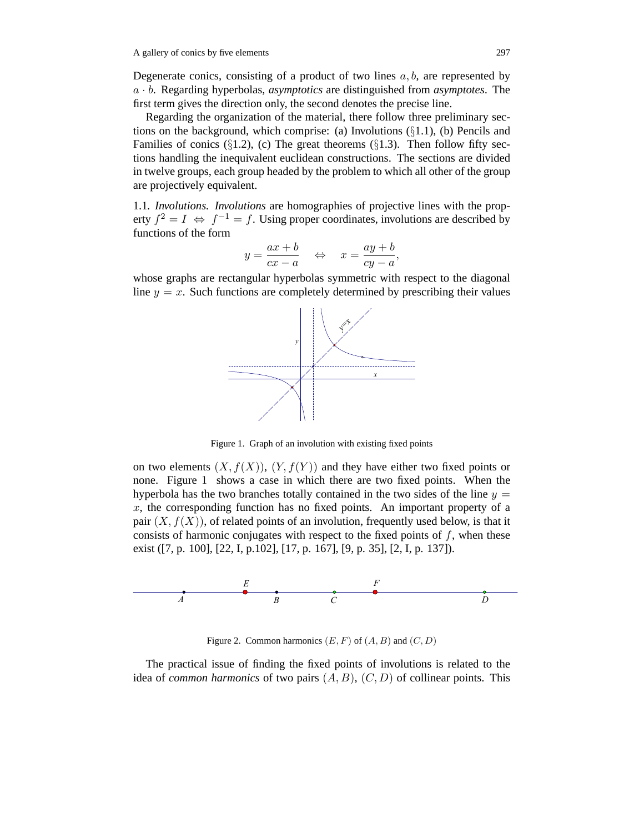Degenerate conics, consisting of a product of two lines  $a, b$ , are represented by a · b. Regarding hyperbolas, *asymptotics* are distinguished from *asymptotes*. The first term gives the direction only, the second denotes the precise line.

Regarding the organization of the material, there follow three preliminary sections on the background, which comprise: (a) Involutions  $(\S1.1)$ , (b) Pencils and Families of conics  $(\S1.2)$ , (c) The great theorems  $(\S1.3)$ . Then follow fifty sections handling the inequivalent euclidean constructions. The sections are divided in twelve groups, each group headed by the problem to which all other of the group are projectively equivalent.

1.1*. Involutions. Involutions* are homographies of projective lines with the property  $f^2 = I \Leftrightarrow f^{-1} = f$ . Using proper coordinates, involutions are described by functions of the form

$$
y = \frac{ax+b}{cx-a} \quad \Leftrightarrow \quad x = \frac{ay+b}{cy-a},
$$

whose graphs are rectangular hyperbolas symmetric with respect to the diagonal line  $y = x$ . Such functions are completely determined by prescribing their values



Figure 1. Graph of an involution with existing fixed points

on two elements  $(X, f(X))$ ,  $(Y, f(Y))$  and they have either two fixed points or none. Figure 1 shows a case in which there are two fixed points. When the hyperbola has the two branches totally contained in the two sides of the line  $y =$  $x$ , the corresponding function has no fixed points. An important property of a pair  $(X, f(X))$ , of related points of an involution, frequently used below, is that it consists of harmonic conjugates with respect to the fixed points of  $f$ , when these exist ([7, p. 100], [22, I, p.102], [17, p. 167], [9, p. 35], [2, I, p. 137]).



Figure 2. Common harmonics  $(E, F)$  of  $(A, B)$  and  $(C, D)$ 

The practical issue of finding the fixed points of involutions is related to the idea of *common harmonics* of two pairs  $(A, B)$ ,  $(C, D)$  of collinear points. This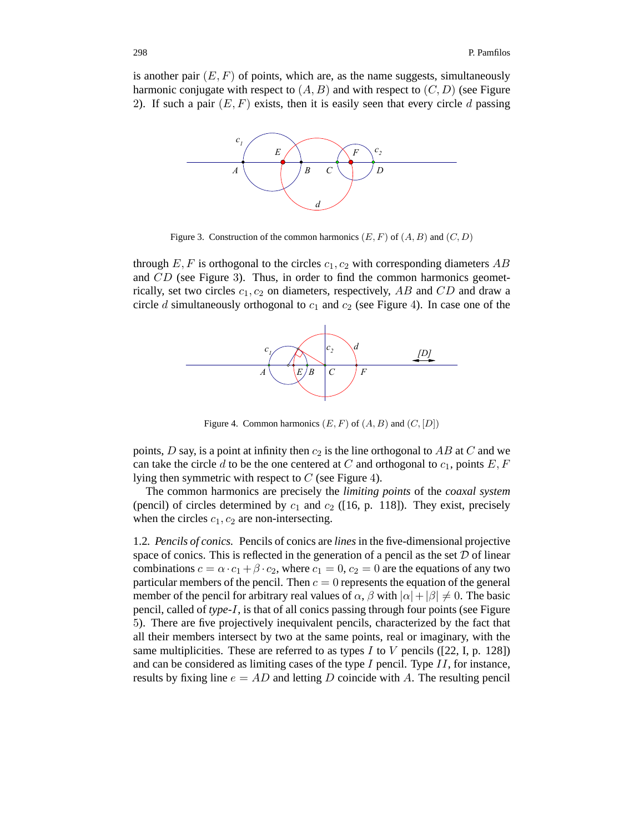is another pair  $(E, F)$  of points, which are, as the name suggests, simultaneously harmonic conjugate with respect to  $(A, B)$  and with respect to  $(C, D)$  (see Figure 2). If such a pair  $(E, F)$  exists, then it is easily seen that every circle d passing



Figure 3. Construction of the common harmonics  $(E, F)$  of  $(A, B)$  and  $(C, D)$ 

through  $E, F$  is orthogonal to the circles  $c_1, c_2$  with corresponding diameters AB and CD (see Figure 3). Thus, in order to find the common harmonics geometrically, set two circles  $c_1, c_2$  on diameters, respectively, AB and CD and draw a circle d simultaneously orthogonal to  $c_1$  and  $c_2$  (see Figure 4). In case one of the



Figure 4. Common harmonics  $(E, F)$  of  $(A, B)$  and  $(C, [D])$ 

points, D say, is a point at infinity then  $c_2$  is the line orthogonal to AB at C and we can take the circle d to be the one centered at C and orthogonal to  $c_1$ , points  $E, F$ lying then symmetric with respect to  $C$  (see Figure 4).

The common harmonics are precisely the *limiting points* of the *coaxal system* (pencil) of circles determined by  $c_1$  and  $c_2$  ([16, p. 118]). They exist, precisely when the circles  $c_1$ ,  $c_2$  are non-intersecting.

1.2*. Pencils of conics.* Pencils of conics are *lines* in the five-dimensional projective space of conics. This is reflected in the generation of a pencil as the set  $D$  of linear combinations  $c = \alpha \cdot c_1 + \beta \cdot c_2$ , where  $c_1 = 0$ ,  $c_2 = 0$  are the equations of any two particular members of the pencil. Then  $c = 0$  represents the equation of the general member of the pencil for arbitrary real values of  $\alpha$ ,  $\beta$  with  $|\alpha| + |\beta| \neq 0$ . The basic pencil, called of *type*-I, is that of all conics passing through four points (see Figure 5). There are five projectively inequivalent pencils, characterized by the fact that all their members intersect by two at the same points, real or imaginary, with the same multiplicities. These are referred to as types I to V pencils ([22, I, p. 128]) and can be considered as limiting cases of the type  $I$  pencil. Type  $II$ , for instance, results by fixing line  $e = AD$  and letting D coincide with A. The resulting pencil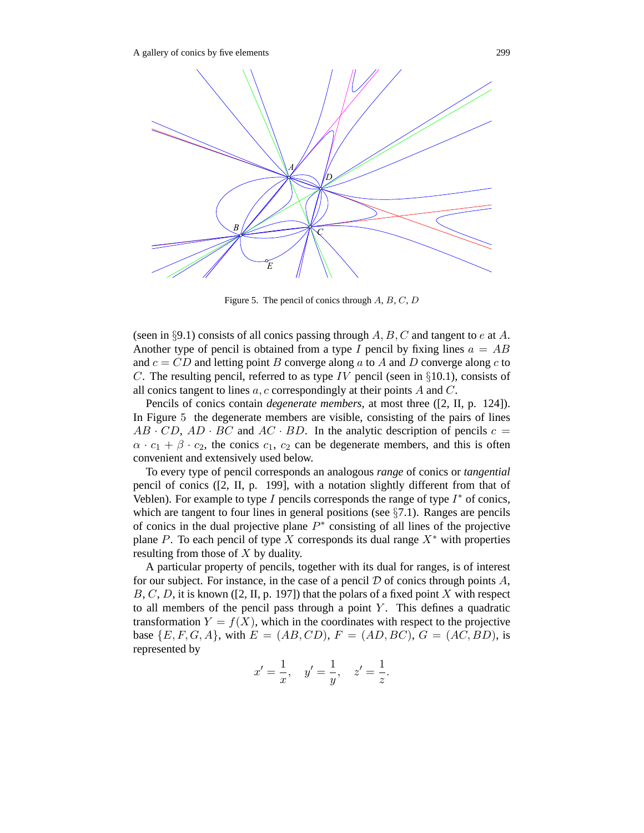

Figure 5. The pencil of conics through  $A, B, C, D$ 

(seen in §9.1) consists of all conics passing through  $A, B, C$  and tangent to e at A. Another type of pencil is obtained from a type I pencil by fixing lines  $a = AB$ and  $c = CD$  and letting point B converge along a to A and D converge along c to C. The resulting pencil, referred to as type IV pencil (seen in  $\S 10.1$ ), consists of all conics tangent to lines  $a, c$  correspondingly at their points  $A$  and  $C$ .

Pencils of conics contain *degenerate members*, at most three ([2, II, p. 124]). In Figure 5 the degenerate members are visible, consisting of the pairs of lines  $AB \cdot CD$ ,  $AD \cdot BC$  and  $AC \cdot BD$ . In the analytic description of pencils  $c =$  $\alpha \cdot c_1 + \beta \cdot c_2$ , the conics  $c_1$ ,  $c_2$  can be degenerate members, and this is often convenient and extensively used below.

To every type of pencil corresponds an analogous *range* of conics or *tangential* pencil of conics ([2, II, p. 199], with a notation slightly different from that of Veblen). For example to type I pencils corresponds the range of type  $I^*$  of conics, which are tangent to four lines in general positions (see  $\S7.1$ ). Ranges are pencils of conics in the dual projective plane  $P^*$  consisting of all lines of the projective plane P. To each pencil of type X corresponds its dual range  $X^*$  with properties resulting from those of X by duality.

A particular property of pencils, together with its dual for ranges, is of interest for our subject. For instance, in the case of a pencil  $D$  of conics through points  $A$ ,  $B, C, D$ , it is known ([2, II, p. 197]) that the polars of a fixed point X with respect to all members of the pencil pass through a point  $Y$ . This defines a quadratic transformation  $Y = f(X)$ , which in the coordinates with respect to the projective base  $\{E, F, G, A\}$ , with  $E = (AB, CD), F = (AD, BC), G = (AC, BD)$ , is represented by

$$
x' = \frac{1}{x}
$$
,  $y' = \frac{1}{y}$ ,  $z' = \frac{1}{z}$ .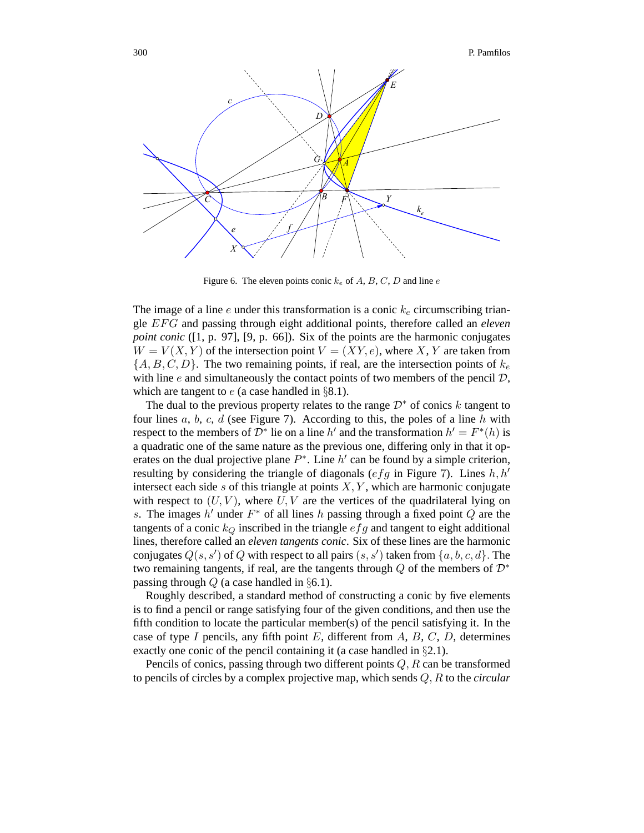

Figure 6. The eleven points conic k*<sup>e</sup>* of A, B, C, D and line e

The image of a line e under this transformation is a conic  $k_e$  circumscribing triangle EFG and passing through eight additional points, therefore called an *eleven point conic* ([1, p. 97], [9, p. 66]). Six of the points are the harmonic conjugates  $W = V(X, Y)$  of the intersection point  $V = (XY, e)$ , where X, Y are taken from  ${A, B, C, D}$ . The two remaining points, if real, are the intersection points of  $k_e$ with line  $e$  and simultaneously the contact points of two members of the pencil  $D$ , which are tangent to  $e$  (a case handled in §8.1).

The dual to the previous property relates to the range  $\mathcal{D}^*$  of conics k tangent to four lines  $a, b, c, d$  (see Figure 7). According to this, the poles of a line  $h$  with respect to the members of  $\mathcal{D}^*$  lie on a line h' and the transformation  $h' = F^*(h)$  is a quadratic one of the same nature as the previous one, differing only in that it operates on the dual projective plane  $P^*$ . Line h' can be found by a simple criterion, resulting by considering the triangle of diagonals (efg in Figure 7). Lines  $h, h'$ intersect each side  $s$  of this triangle at points  $X, Y$ , which are harmonic conjugate with respect to  $(U, V)$ , where  $U, V$  are the vertices of the quadrilateral lying on s. The images  $h'$  under  $F^*$  of all lines h passing through a fixed point Q are the tangents of a conic  $k_Q$  inscribed in the triangle  $efg$  and tangent to eight additional lines, therefore called an *eleven tangents conic*. Six of these lines are the harmonic conjugates  $Q(s, s')$  of  $Q$  with respect to all pairs  $(s, s')$  taken from  $\{a, b, c, d\}$ . The two remaining tangents, if real, are the tangents through  $Q$  of the members of  $\mathcal{D}^*$ passing through  $Q$  (a case handled in §6.1).

Roughly described, a standard method of constructing a conic by five elements is to find a pencil or range satisfying four of the given conditions, and then use the fifth condition to locate the particular member(s) of the pencil satisfying it. In the case of type I pencils, any fifth point  $E$ , different from  $A$ ,  $B$ ,  $C$ ,  $D$ , determines exactly one conic of the pencil containing it (a case handled in §2.1).

Pencils of conics, passing through two different points  $Q, R$  can be transformed to pencils of circles by a complex projective map, which sends Q, R to the *circular*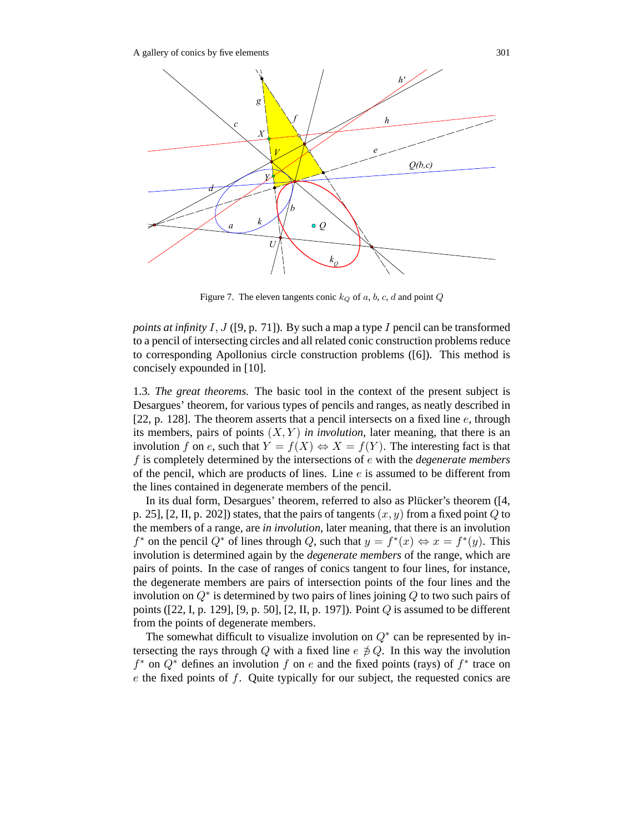

Figure 7. The eleven tangents conic  $k_Q$  of a, b, c, d and point  $Q$ 

*points at infinity* I, J ([9, p. 71]). By such a map a type I pencil can be transformed to a pencil of intersecting circles and all related conic construction problems reduce to corresponding Apollonius circle construction problems ([6]). This method is concisely expounded in [10].

1.3*. The great theorems.* The basic tool in the context of the present subject is Desargues' theorem, for various types of pencils and ranges, as neatly described in [22, p. 128]. The theorem asserts that a pencil intersects on a fixed line  $e$ , through its members, pairs of points  $(X, Y)$  *in involution*, later meaning, that there is an involution f on e, such that  $Y = f(X) \Leftrightarrow X = f(Y)$ . The interesting fact is that f is completely determined by the intersections of e with the *degenerate members* of the pencil, which are products of lines. Line  $e$  is assumed to be different from the lines contained in degenerate members of the pencil.

In its dual form, Desargues' theorem, referred to also as Plücker's theorem ([4, p. 25], [2, II, p. 202]) states, that the pairs of tangents  $(x, y)$  from a fixed point Q to the members of a range, are *in involution*, later meaning, that there is an involution  $f^*$  on the pencil  $Q^*$  of lines through Q, such that  $y = f^*(x) \Leftrightarrow x = f^*(y)$ . This involution is determined again by the *degenerate members* of the range, which are pairs of points. In the case of ranges of conics tangent to four lines, for instance, the degenerate members are pairs of intersection points of the four lines and the involution on  $Q^*$  is determined by two pairs of lines joining  $Q$  to two such pairs of points ([22, I, p. 129], [9, p. 50], [2, II, p. 197]). Point  $Q$  is assumed to be different from the points of degenerate members.

The somewhat difficult to visualize involution on  $Q^*$  can be represented by intersecting the rays through Q with a fixed line  $e \not\equiv Q$ . In this way the involution  $f^*$  on  $Q^*$  defines an involution f on e and the fixed points (rays) of  $f^*$  trace on e the fixed points of f. Quite typically for our subject, the requested conics are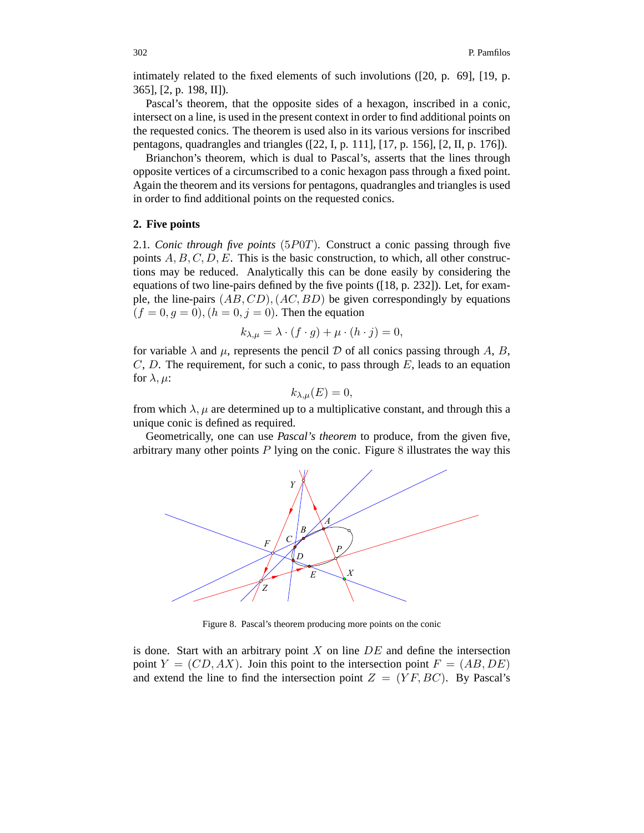intimately related to the fixed elements of such involutions ([20, p. 69], [19, p. 365], [2, p. 198, II]).

Pascal's theorem, that the opposite sides of a hexagon, inscribed in a conic, intersect on a line, is used in the present context in order to find additional points on the requested conics. The theorem is used also in its various versions for inscribed pentagons, quadrangles and triangles ([22, I, p. 111], [17, p. 156], [2, II, p. 176]).

Brianchon's theorem, which is dual to Pascal's, asserts that the lines through opposite vertices of a circumscribed to a conic hexagon pass through a fixed point. Again the theorem and its versions for pentagons, quadrangles and triangles is used in order to find additional points on the requested conics.

## **2. Five points**

2.1*. Conic through five points* (5P0T)*.* Construct a conic passing through five points  $A, B, C, D, E$ . This is the basic construction, to which, all other constructions may be reduced. Analytically this can be done easily by considering the equations of two line-pairs defined by the five points ([18, p. 232]). Let, for example, the line-pairs  $(AB, CD), (AC, BD)$  be given correspondingly by equations  $(f = 0, g = 0), (h = 0, j = 0)$ . Then the equation

$$
k_{\lambda,\mu} = \lambda \cdot (f \cdot g) + \mu \cdot (h \cdot j) = 0,
$$

for variable  $\lambda$  and  $\mu$ , represents the pencil  $\mathcal D$  of all conics passing through A, B,  $C, D$ . The requirement, for such a conic, to pass through  $E$ , leads to an equation for  $\lambda, \mu$ :

$$
k_{\lambda,\mu}(E) = 0,
$$

from which  $\lambda$ ,  $\mu$  are determined up to a multiplicative constant, and through this a unique conic is defined as required.

Geometrically, one can use *Pascal's theorem* to produce, from the given five, arbitrary many other points  $P$  lying on the conic. Figure 8 illustrates the way this



Figure 8. Pascal's theorem producing more points on the conic

is done. Start with an arbitrary point  $X$  on line  $DE$  and define the intersection point  $Y = (CD, AX)$ . Join this point to the intersection point  $F = (AB, DE)$ and extend the line to find the intersection point  $Z = (YF, BC)$ . By Pascal's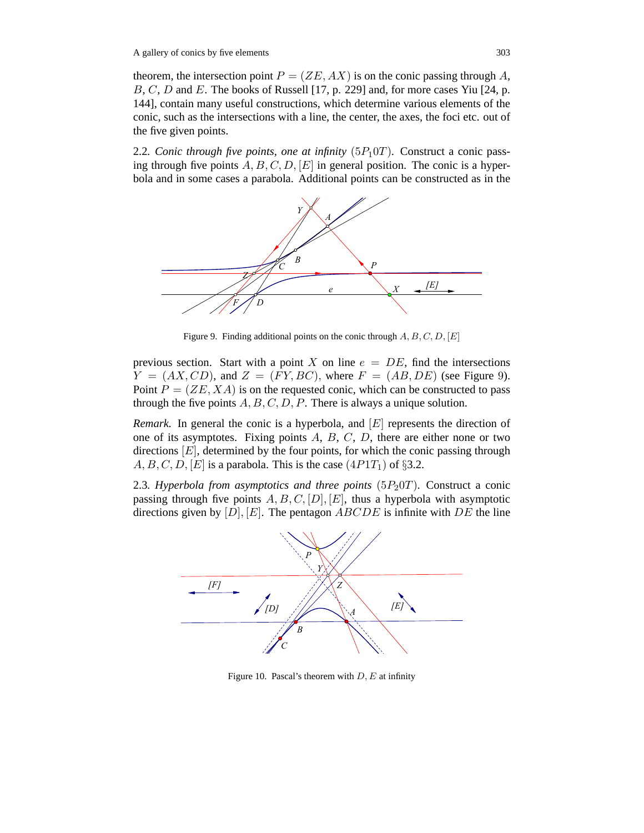theorem, the intersection point  $P = (ZE, AX)$  is on the conic passing through A, B, C, D and E. The books of Russell [17, p. 229] and, for more cases Yiu [24, p. 144], contain many useful constructions, which determine various elements of the conic, such as the intersections with a line, the center, the axes, the foci etc. out of the five given points.

2.2*. Conic through five points, one at infinity*  $(5P_10T)$ *.* Construct a conic passing through five points  $A, B, C, D, |E|$  in general position. The conic is a hyperbola and in some cases a parabola. Additional points can be constructed as in the



Figure 9. Finding additional points on the conic through  $A, B, C, D, [E]$ 

previous section. Start with a point X on line  $e = DE$ , find the intersections  $Y = (AX, CD)$ , and  $Z = (FY, BC)$ , where  $F = (AB, DE)$  (see Figure 9). Point  $P = (ZE, XA)$  is on the requested conic, which can be constructed to pass through the five points  $A, B, C, D, P$ . There is always a unique solution.

*Remark.* In general the conic is a hyperbola, and  $[E]$  represents the direction of one of its asymptotes. Fixing points  $A, B, C, D$ , there are either none or two directions  $[E]$ , determined by the four points, for which the conic passing through  $A, B, C, D, [E]$  is a parabola. This is the case  $(4P1T_1)$  of §3.2.

2.3. Hyperbola from asymptotics and three points  $(5P<sub>2</sub>0T)$ . Construct a conic passing through five points  $A, B, C, [D], [E]$ , thus a hyperbola with asymptotic directions given by  $[D], [E]$ . The pentagon  $ABCDE$  is infinite with  $DE$  the line



Figure 10. Pascal's theorem with  $D, E$  at infinity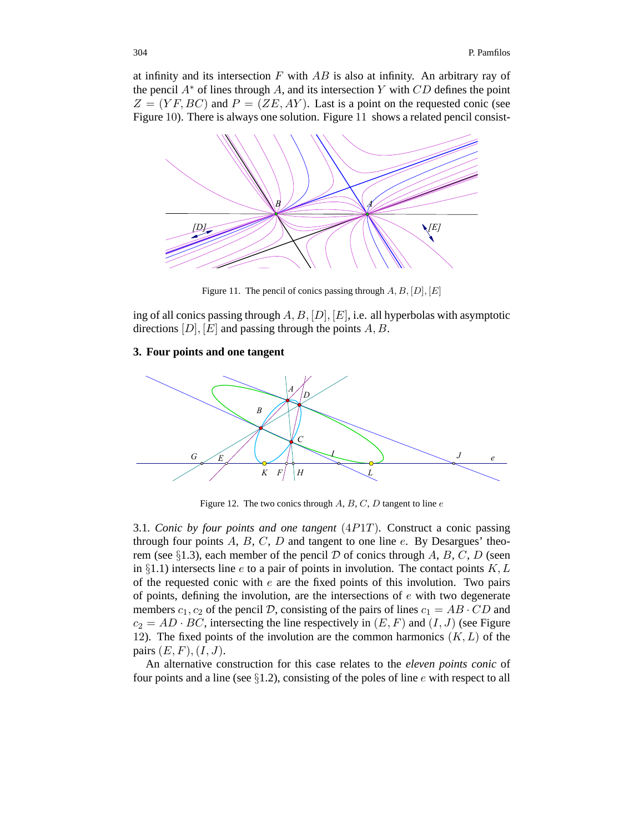at infinity and its intersection  $F$  with  $AB$  is also at infinity. An arbitrary ray of the pencil  $A^*$  of lines through A, and its intersection Y with CD defines the point  $Z = (YF, BC)$  and  $P = (ZE, AY)$ . Last is a point on the requested conic (see Figure 10). There is always one solution. Figure 11 shows a related pencil consist-



Figure 11. The pencil of conics passing through  $A, B, [D], [E]$ 

ing of all conics passing through  $A, B, [D], [E]$ , i.e. all hyperbolas with asymptotic directions  $[D], [E]$  and passing through the points  $A, B$ .

## **3. Four points and one tangent**



Figure 12. The two conics through  $A, B, C, D$  tangent to line  $e$ 

3.1*. Conic by four points and one tangent* (4P1T)*.* Construct a conic passing through four points  $A, B, C, D$  and tangent to one line e. By Desargues' theorem (see §1.3), each member of the pencil  $D$  of conics through A, B, C, D (seen in §1.1) intersects line e to a pair of points in involution. The contact points  $K, L$ of the requested conic with  $e$  are the fixed points of this involution. Two pairs of points, defining the involution, are the intersections of  $e$  with two degenerate members  $c_1$ ,  $c_2$  of the pencil D, consisting of the pairs of lines  $c_1 = AB \cdot CD$  and  $c_2 = AD \cdot BC$ , intersecting the line respectively in  $(E, F)$  and  $(I, J)$  (see Figure 12). The fixed points of the involution are the common harmonics  $(K, L)$  of the pairs  $(E, F), (I, J)$ .

An alternative construction for this case relates to the *eleven points conic* of four points and a line (see  $\S1.2$ ), consisting of the poles of line e with respect to all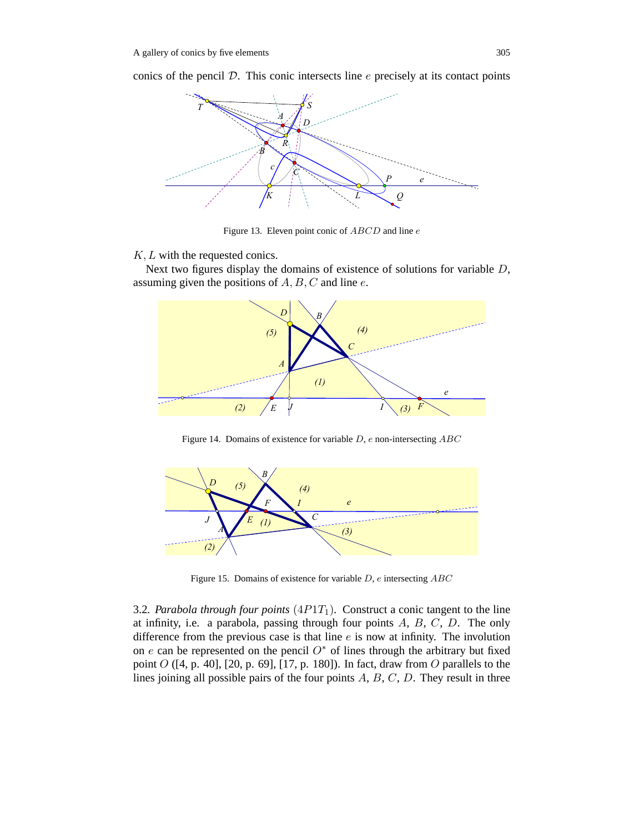conics of the pencil  $D$ . This conic intersects line  $e$  precisely at its contact points



Figure 13. Eleven point conic of ABCD and line e

# K, L with the requested conics.

Next two figures display the domains of existence of solutions for variable  $D$ , assuming given the positions of  $A, B, C$  and line  $e$ .



Figure 14. Domains of existence for variable  $D$ ,  $e$  non-intersecting  $ABC$ 



Figure 15. Domains of existence for variable D, e intersecting ABC

3.2. Parabola through four points  $(4P1T_1)$ . Construct a conic tangent to the line at infinity, i.e. a parabola, passing through four points  $A, B, C, D$ . The only difference from the previous case is that line  $e$  is now at infinity. The involution on e can be represented on the pencil  $O^*$  of lines through the arbitrary but fixed point  $O$  ([4, p. 40], [20, p. 69], [17, p. 180]). In fact, draw from  $O$  parallels to the lines joining all possible pairs of the four points  $A, B, C, D$ . They result in three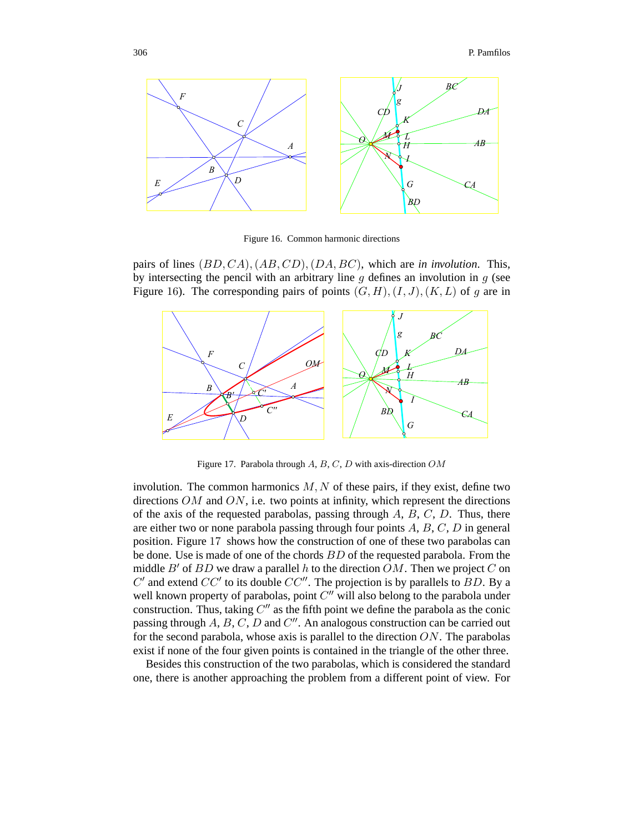

Figure 16. Common harmonic directions

pairs of lines (BD, CA),(AB, CD),(DA, BC), which are *in involution*. This, by intersecting the pencil with an arbitrary line  $g$  defines an involution in  $g$  (see Figure 16). The corresponding pairs of points  $(G, H), (I, J), (K, L)$  of q are in



Figure 17. Parabola through A, B, C, D with axis-direction OM

involution. The common harmonics  $M, N$  of these pairs, if they exist, define two directions  $OM$  and  $ON$ , i.e. two points at infinity, which represent the directions of the axis of the requested parabolas, passing through  $A$ ,  $B$ ,  $C$ ,  $D$ . Thus, there are either two or none parabola passing through four points  $A, B, C, D$  in general position. Figure 17 shows how the construction of one of these two parabolas can be done. Use is made of one of the chords BD of the requested parabola. From the middle  $B'$  of  $BD$  we draw a parallel h to the direction  $OM$ . Then we project C on  $C'$  and extend  $CC'$  to its double  $CC''$ . The projection is by parallels to  $BD$ . By a well known property of parabolas, point  $C''$  will also belong to the parabola under construction. Thus, taking  $C''$  as the fifth point we define the parabola as the conic passing through  $A, B, C, D$  and  $C''$ . An analogous construction can be carried out for the second parabola, whose axis is parallel to the direction  $ON$ . The parabolas exist if none of the four given points is contained in the triangle of the other three.

Besides this construction of the two parabolas, which is considered the standard one, there is another approaching the problem from a different point of view. For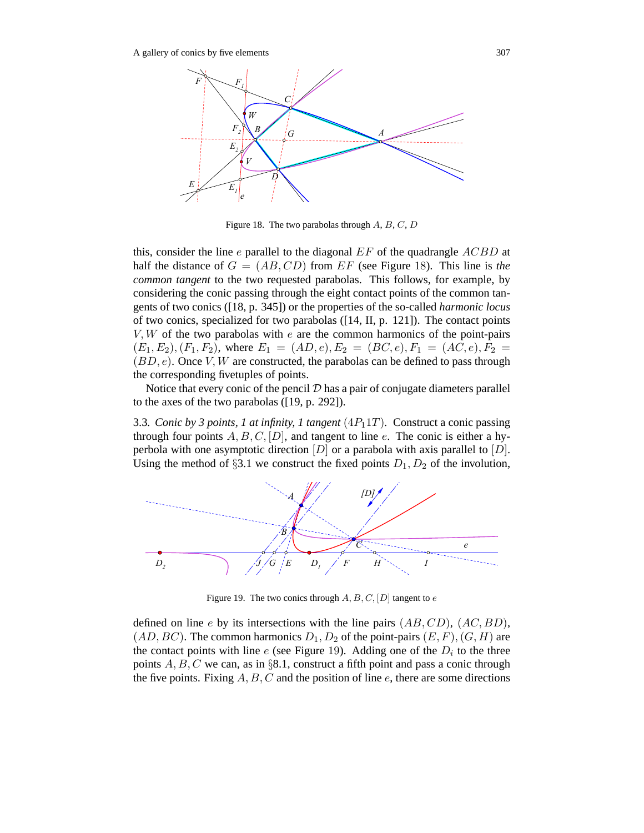

Figure 18. The two parabolas through  $A, B, C, D$ 

this, consider the line e parallel to the diagonal  $EF$  of the quadrangle  $ACBD$  at half the distance of  $G = (AB, CD)$  from  $EF$  (see Figure 18). This line is *the common tangent* to the two requested parabolas. This follows, for example, by considering the conic passing through the eight contact points of the common tangents of two conics ([18, p. 345]) or the properties of the so-called *harmonic locus* of two conics, specialized for two parabolas ([14, II, p. 121]). The contact points  $V, W$  of the two parabolas with  $e$  are the common harmonics of the point-pairs  $(E_1, E_2), (F_1, F_2)$ , where  $E_1 = (AD, e), E_2 = (BC, e), F_1 = (AC, e), F_2 =$  $(BD, e)$ . Once V, W are constructed, the parabolas can be defined to pass through the corresponding fivetuples of points.

Notice that every conic of the pencil  $D$  has a pair of conjugate diameters parallel to the axes of the two parabolas ([19, p. 292]).

3.3*. Conic by 3 points, 1 at infinity, 1 tangent*  $(4P_11T)$ *.* Construct a conic passing through four points  $A, B, C, [D]$ , and tangent to line e. The conic is either a hyperbola with one asymptotic direction  $[D]$  or a parabola with axis parallel to  $[D]$ . Using the method of §3.1 we construct the fixed points  $D_1, D_2$  of the involution,



Figure 19. The two conics through  $A, B, C, [D]$  tangent to  $e$ 

defined on line e by its intersections with the line pairs  $(AB, CD)$ ,  $(AC, BD)$ ,  $(AD, BC)$ . The common harmonics  $D_1, D_2$  of the point-pairs  $(E, F), (G, H)$  are the contact points with line e (see Figure 19). Adding one of the  $D<sub>i</sub>$  to the three points  $A, B, C$  we can, as in §8.1, construct a fifth point and pass a conic through the five points. Fixing  $A, B, C$  and the position of line  $e$ , there are some directions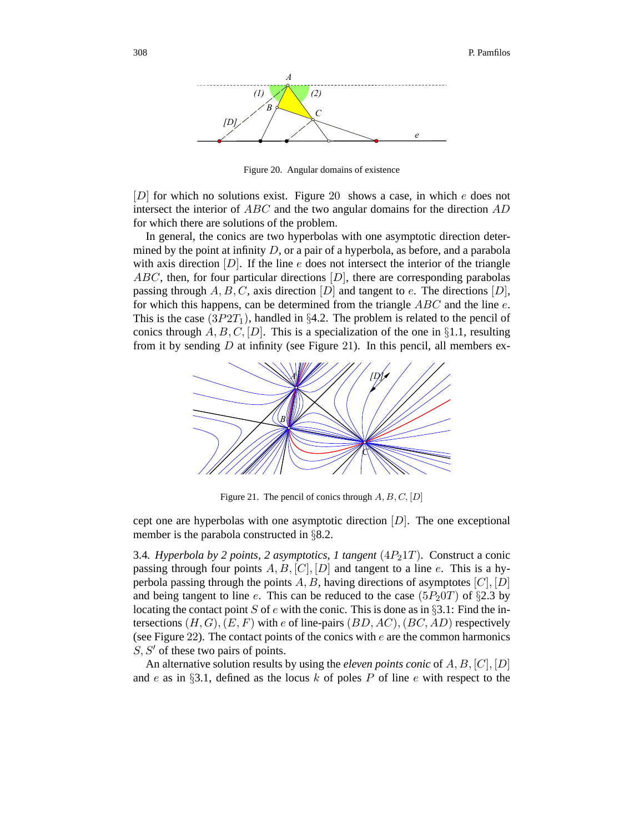

Figure 20. Angular domains of existence

 $[D]$  for which no solutions exist. Figure 20 shows a case, in which e does not intersect the interior of  $ABC$  and the two angular domains for the direction  $AD$ for which there are solutions of the problem.

In general, the conics are two hyperbolas with one asymptotic direction determined by the point at infinity  $D$ , or a pair of a hyperbola, as before, and a parabola with axis direction  $[D]$ . If the line e does not intersect the interior of the triangle  $ABC$ , then, for four particular directions  $[D]$ , there are corresponding parabolas passing through A, B, C, axis direction [D] and tangent to e. The directions [D], for which this happens, can be determined from the triangle  $ABC$  and the line  $e$ . This is the case  $(3P2T_1)$ , handled in §4.2. The problem is related to the pencil of conics through  $A, B, C, [D]$ . This is a specialization of the one in §1.1, resulting from it by sending  $D$  at infinity (see Figure 21). In this pencil, all members ex-



Figure 21. The pencil of conics through  $A, B, C, [D]$ 

cept one are hyperbolas with one asymptotic direction  $[D]$ . The one exceptional member is the parabola constructed in §8.2.

3.4*. Hyperbola by 2 points, 2 asymptotics, 1 tangent*  $(4P_21T)$ *.* Construct a conic passing through four points  $A, B, [C], [D]$  and tangent to a line e. This is a hyperbola passing through the points A, B, having directions of asymptotes  $[C], [D]$ and being tangent to line e. This can be reduced to the case  $(5P<sub>2</sub>0T)$  of §2.3 by locating the contact point S of e with the conic. This is done as in §3.1: Find the intersections  $(H, G), (E, F)$  with e of line-pairs  $(BD, AC), (BC, AD)$  respectively (see Figure 22). The contact points of the conics with  $e$  are the common harmonics  $S, S'$  of these two pairs of points.

An alternative solution results by using the *eleven points conic* of A, B, [C], [D] and e as in  $\S 3.1$ , defined as the locus k of poles P of line e with respect to the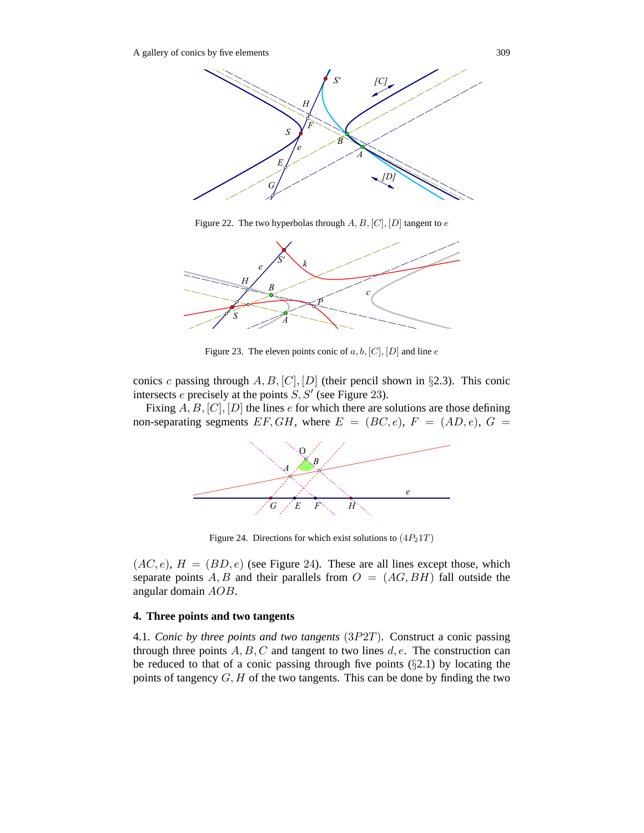A gallery of conics by five elements 309



Figure 22. The two hyperbolas through  $A, B, [C], [D]$  tangent to  $e$ 



Figure 23. The eleven points conic of  $a, b, [C], [D]$  and line  $e$ 

conics c passing through  $A, B, [C], [D]$  (their pencil shown in §2.3). This conic intersects e precisely at the points  $S, S'$  (see Figure 23).

Fixing  $A, B, [C], [D]$  the lines e for which there are solutions are those defining non-separating segments  $EF, GH$ , where  $E = (BC, e), F = (AD, e), G =$ 



Figure 24. Directions for which exist solutions to  $(4P<sub>2</sub>1T)$ 

 $(AC, e)$ ,  $H = (BD, e)$  (see Figure 24). These are all lines except those, which separate points A, B and their parallels from  $O = (AG, BH)$  fall outside the angular domain AOB.

# **4. Three points and two tangents**

4.1*. Conic by three points and two tangents* (3P2T)*.* Construct a conic passing through three points  $A, B, C$  and tangent to two lines  $d, e$ . The construction can be reduced to that of a conic passing through five points  $(\S 2.1)$  by locating the points of tangency  $G, H$  of the two tangents. This can be done by finding the two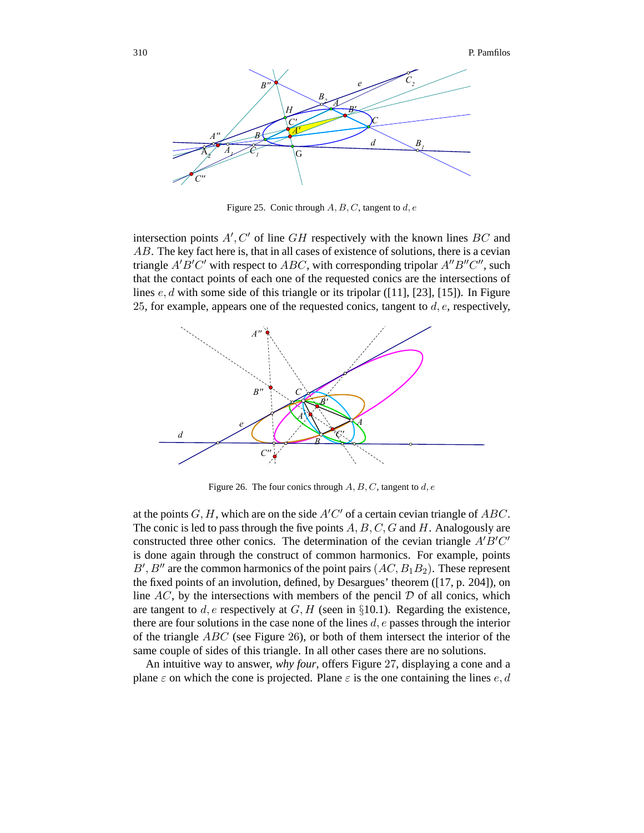

Figure 25. Conic through  $A, B, C$ , tangent to d, e

intersection points  $A', C'$  of line GH respectively with the known lines BC and AB. The key fact here is, that in all cases of existence of solutions, there is a cevian triangle  $A'B'C'$  with respect to  $ABC$ , with corresponding tripolar  $A''B''C''$ , such that the contact points of each one of the requested conics are the intersections of lines  $e, d$  with some side of this triangle or its tripolar ([11], [23], [15]). In Figure 25, for example, appears one of the requested conics, tangent to  $d, e$ , respectively,



Figure 26. The four conics through  $A, B, C$ , tangent to  $d, e$ 

at the points  $G, H$ , which are on the side  $A'C'$  of a certain cevian triangle of  $ABC$ . The conic is led to pass through the five points  $A, B, C, G$  and  $H$ . Analogously are constructed three other conics. The determination of the cevian triangle  $A'B'C'$ is done again through the construct of common harmonics. For example, points  $B', B''$  are the common harmonics of the point pairs  $(AC, B_1B_2)$ . These represent the fixed points of an involution, defined, by Desargues' theorem ([17, p. 204]), on line  $AC$ , by the intersections with members of the pencil  $D$  of all conics, which are tangent to d, e respectively at  $G, H$  (seen in §10.1). Regarding the existence, there are four solutions in the case none of the lines  $d$ ,  $e$  passes through the interior of the triangle ABC (see Figure 26), or both of them intersect the interior of the same couple of sides of this triangle. In all other cases there are no solutions.

An intuitive way to answer, *why four*, offers Figure 27, displaying a cone and a plane  $\varepsilon$  on which the cone is projected. Plane  $\varepsilon$  is the one containing the lines e, d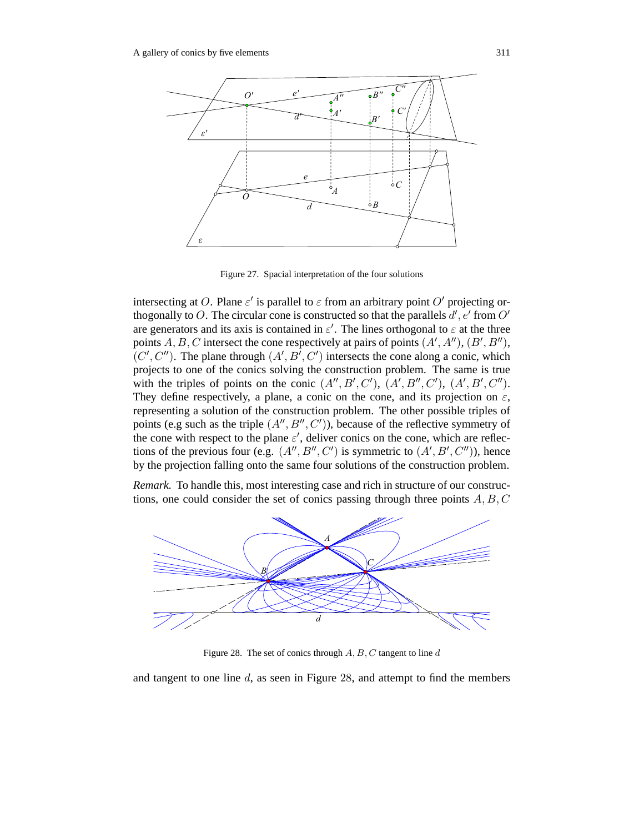

Figure 27. Spacial interpretation of the four solutions

intersecting at O. Plane  $\varepsilon'$  is parallel to  $\varepsilon$  from an arbitrary point O' projecting orthogonally to O. The circular cone is constructed so that the parallels  $d'$ ,  $e'$  from  $O'$ are generators and its axis is contained in  $\varepsilon'$ . The lines orthogonal to  $\varepsilon$  at the three points  $A, B, C$  intersect the cone respectively at pairs of points  $(A', A''), (B', B''),$  $(C', C'')$ . The plane through  $(A', B', C')$  intersects the cone along a conic, which projects to one of the conics solving the construction problem. The same is true with the triples of points on the conic  $(A'', B', C')$ ,  $(A', B'', C')$ ,  $(A', B', C'')$ . They define respectively, a plane, a conic on the cone, and its projection on  $\varepsilon$ , representing a solution of the construction problem. The other possible triples of points (e.g such as the triple  $(A'', B'', C')$ ), because of the reflective symmetry of the cone with respect to the plane  $\varepsilon'$ , deliver conics on the cone, which are reflections of the previous four (e.g.  $(A'', B'', C')$  is symmetric to  $(A', B', C'')$ ), hence by the projection falling onto the same four solutions of the construction problem.

*Remark.* To handle this, most interesting case and rich in structure of our constructions, one could consider the set of conics passing through three points  $A, B, C$ 



Figure 28. The set of conics through  $A, B, C$  tangent to line d

and tangent to one line  $d$ , as seen in Figure 28, and attempt to find the members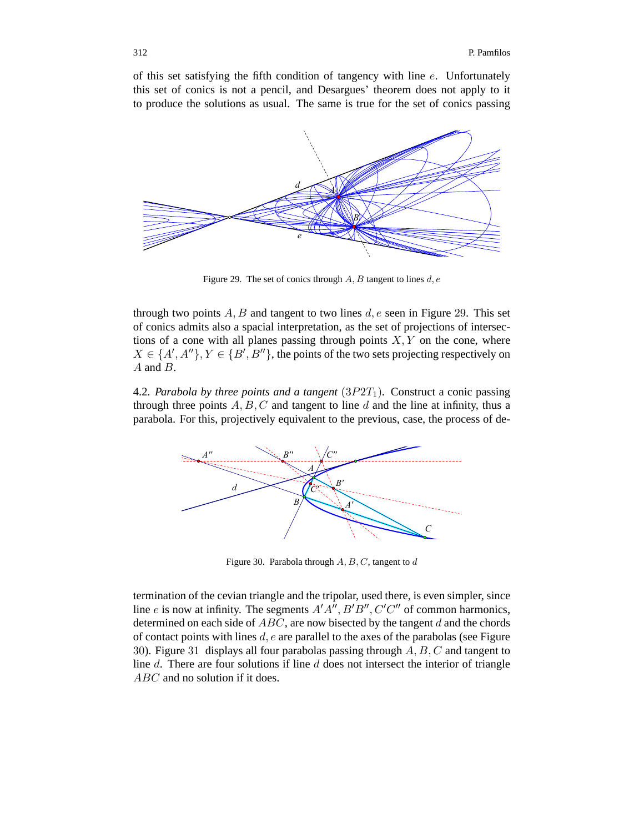of this set satisfying the fifth condition of tangency with line  $e$ . Unfortunately this set of conics is not a pencil, and Desargues' theorem does not apply to it to produce the solutions as usual. The same is true for the set of conics passing



Figure 29. The set of conics through  $A, B$  tangent to lines  $d, e$ 

through two points  $A, B$  and tangent to two lines  $d, e$  seen in Figure 29. This set of conics admits also a spacial interpretation, as the set of projections of intersections of a cone with all planes passing through points  $X, Y$  on the cone, where  $X \in \{A', A''\}, Y \in \{B', B''\},$  the points of the two sets projecting respectively on A and B.

4.2. Parabola by three points and a tangent  $(3P2T<sub>1</sub>)$ . Construct a conic passing through three points  $A, B, C$  and tangent to line d and the line at infinity, thus a parabola. For this, projectively equivalent to the previous, case, the process of de-



Figure 30. Parabola through  $A, B, C$ , tangent to  $d$ 

termination of the cevian triangle and the tripolar, used there, is even simpler, since line *e* is now at infinity. The segments  $A'A''$ ,  $B'B''$ ,  $C'C''$  of common harmonics, determined on each side of  $ABC$ , are now bisected by the tangent  $d$  and the chords of contact points with lines  $d, e$  are parallel to the axes of the parabolas (see Figure 30). Figure 31 displays all four parabolas passing through  $A, B, C$  and tangent to line  $d$ . There are four solutions if line  $d$  does not intersect the interior of triangle ABC and no solution if it does.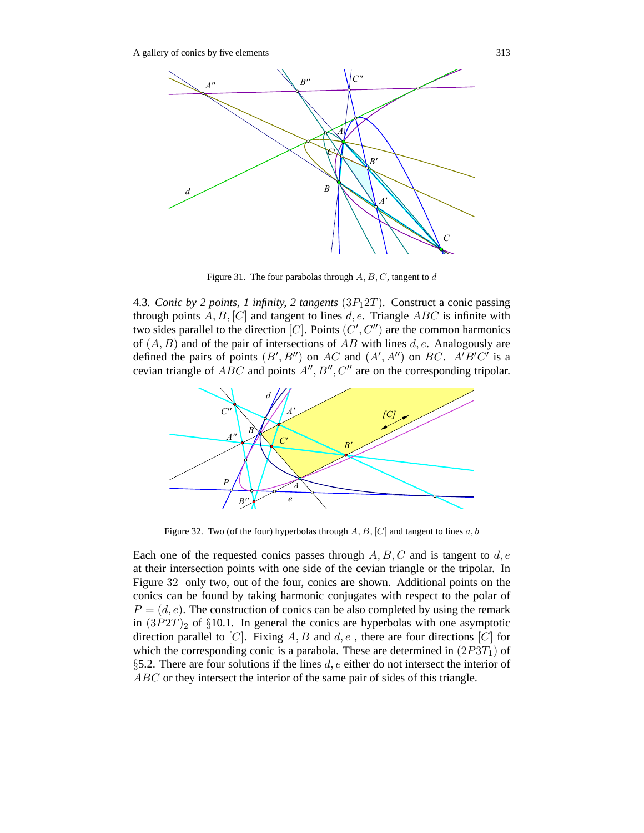

Figure 31. The four parabolas through  $A, B, C$ , tangent to  $d$ 

4.3*. Conic by 2 points, 1 infinity, 2 tangents*  $(3P<sub>1</sub>2T)$ *.* Construct a conic passing through points  $A, B, [C]$  and tangent to lines d, e. Triangle ABC is infinite with two sides parallel to the direction [C]. Points  $(C', C'')$  are the common harmonics of  $(A, B)$  and of the pair of intersections of AB with lines d, e. Analogously are defined the pairs of points  $(B', B'')$  on AC and  $(A', A'')$  on BC. A'B'C' is a cevian triangle of  $ABC$  and points  $A'', B'', C''$  are on the corresponding tripolar.



Figure 32. Two (of the four) hyperbolas through  $A, B, [C]$  and tangent to lines  $a, b$ 

Each one of the requested conics passes through  $A, B, C$  and is tangent to  $d, e$ at their intersection points with one side of the cevian triangle or the tripolar. In Figure 32 only two, out of the four, conics are shown. Additional points on the conics can be found by taking harmonic conjugates with respect to the polar of  $P = (d, e)$ . The construction of conics can be also completed by using the remark in  $(3P2T)_2$  of  $\S 10.1$ . In general the conics are hyperbolas with one asymptotic direction parallel to [C]. Fixing A, B and  $d, e$ , there are four directions [C] for which the corresponding conic is a parabola. These are determined in  $(2P3T_1)$  of §5.2. There are four solutions if the lines  $d, e$  either do not intersect the interior of ABC or they intersect the interior of the same pair of sides of this triangle.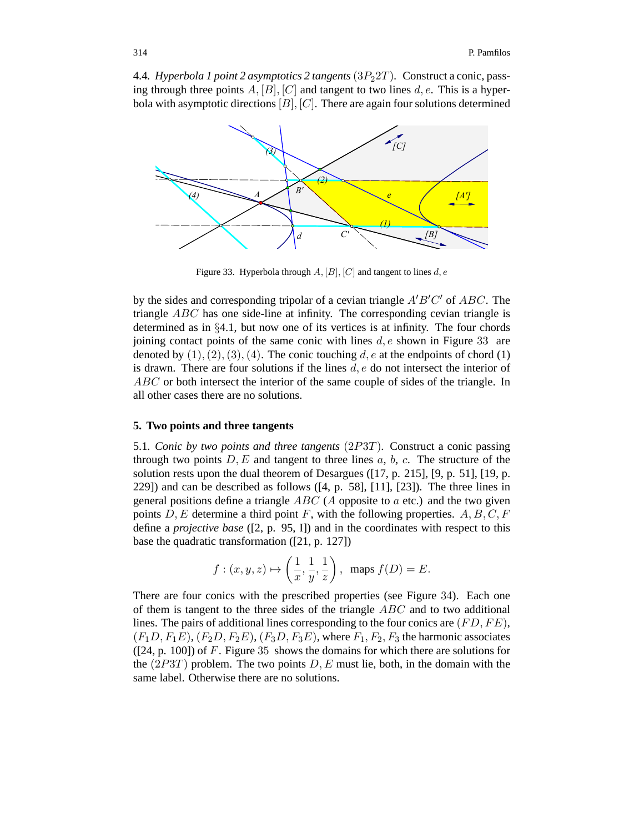4.4*. Hyperbola 1 point 2 asymptotics 2 tangents*(3P22T)*.* Construct a conic, passing through three points  $A$ ,  $[B]$ ,  $[C]$  and tangent to two lines  $d$ ,  $e$ . This is a hyperbola with asymptotic directions  $[B], [C]$ . There are again four solutions determined



Figure 33. Hyperbola through  $A$ ,  $[B]$ ,  $[C]$  and tangent to lines  $d$ ,  $e$ 

by the sides and corresponding tripolar of a cevian triangle  $A'B'C'$  of  $ABC$ . The triangle ABC has one side-line at infinity. The corresponding cevian triangle is determined as in §4.1, but now one of its vertices is at infinity. The four chords joining contact points of the same conic with lines  $d, e$  shown in Figure 33 are denoted by  $(1), (2), (3), (4)$ . The conic touching d, e at the endpoints of chord  $(1)$ is drawn. There are four solutions if the lines  $d, e$  do not intersect the interior of ABC or both intersect the interior of the same couple of sides of the triangle. In all other cases there are no solutions.

## **5. Two points and three tangents**

5.1*. Conic by two points and three tangents* (2P3T)*.* Construct a conic passing through two points  $D, E$  and tangent to three lines  $a, b, c$ . The structure of the solution rests upon the dual theorem of Desargues ([17, p. 215], [9, p. 51], [19, p. 229]) and can be described as follows ([4, p. 58], [11], [23]). The three lines in general positions define a triangle  $ABC$  (A opposite to a etc.) and the two given points  $D, E$  determine a third point F, with the following properties.  $A, B, C, F$ define a *projective base* ([2, p. 95, I]) and in the coordinates with respect to this base the quadratic transformation ([21, p. 127])

$$
f:(x, y, z) \mapsto \left(\frac{1}{x}, \frac{1}{y}, \frac{1}{z}\right)
$$
, maps  $f(D) = E$ .

There are four conics with the prescribed properties (see Figure 34). Each one of them is tangent to the three sides of the triangle  $ABC$  and to two additional lines. The pairs of additional lines corresponding to the four conics are  $(FD, FE)$ ,  $(F_1D, F_1E), (F_2D, F_2E), (F_3D, F_3E),$  where  $F_1, F_2, F_3$  the harmonic associates  $(24, p. 100)$  of F. Figure 35 shows the domains for which there are solutions for the  $(2P3T)$  problem. The two points D, E must lie, both, in the domain with the same label. Otherwise there are no solutions.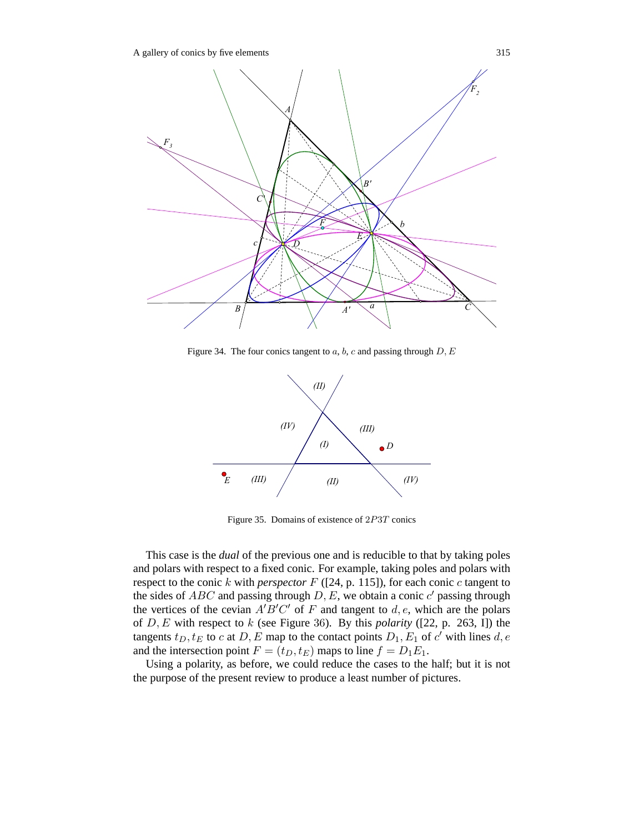A gallery of conics by five elements 315



Figure 34. The four conics tangent to  $a, b, c$  and passing through  $D, E$ 



Figure 35. Domains of existence of 2P3T conics

This case is the *dual* of the previous one and is reducible to that by taking poles and polars with respect to a fixed conic. For example, taking poles and polars with respect to the conic  $k$  with *perspector*  $F$  ([24, p. 115]), for each conic  $c$  tangent to the sides of  $ABC$  and passing through  $D, E$ , we obtain a conic  $c'$  passing through the vertices of the cevian  $A'B'C'$  of F and tangent to d, e, which are the polars of D, E with respect to k (see Figure 36). By this *polarity* ([22, p. 263, I]) the tangents  $t_D, t_E$  to c at D, E map to the contact points  $D_1, E_1$  of c' with lines d, e and the intersection point  $F = (t_D, t_E)$  maps to line  $f = D_1 E_1$ .

Using a polarity, as before, we could reduce the cases to the half; but it is not the purpose of the present review to produce a least number of pictures.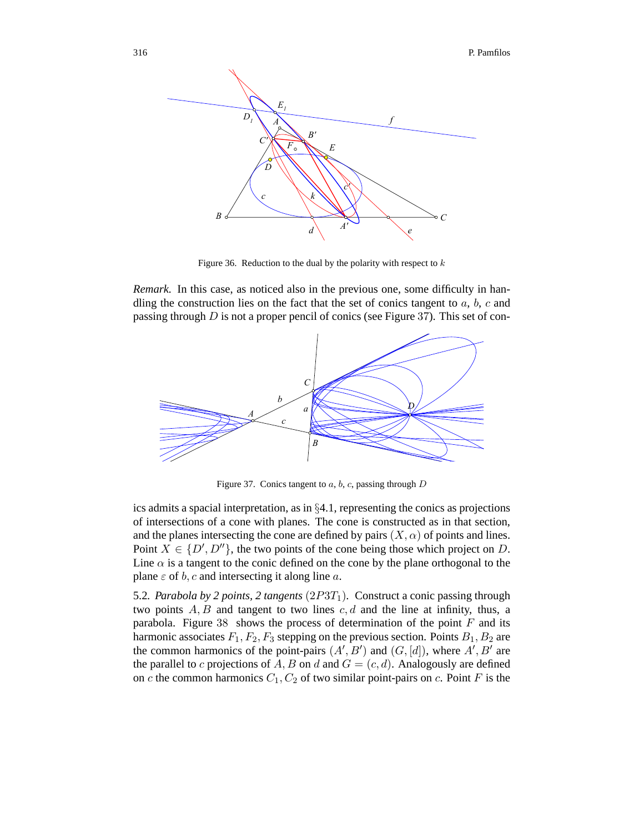

Figure 36. Reduction to the dual by the polarity with respect to  $k$ 

*Remark.* In this case, as noticed also in the previous one, some difficulty in handling the construction lies on the fact that the set of conics tangent to  $a, b, c$  and passing through  $D$  is not a proper pencil of conics (see Figure 37). This set of con-



Figure 37. Conics tangent to  $a, b, c$ , passing through  $D$ 

ics admits a spacial interpretation, as in §4.1, representing the conics as projections of intersections of a cone with planes. The cone is constructed as in that section, and the planes intersecting the cone are defined by pairs  $(X, \alpha)$  of points and lines. Point  $X \in \{D', D''\}$ , the two points of the cone being those which project on D. Line  $\alpha$  is a tangent to the conic defined on the cone by the plane orthogonal to the plane  $\varepsilon$  of b, c and intersecting it along line a.

5.2. Parabola by 2 points, 2 tangents  $(2P3T<sub>1</sub>)$ . Construct a conic passing through two points  $A, B$  and tangent to two lines  $c, d$  and the line at infinity, thus, a parabola. Figure 38 shows the process of determination of the point  $F$  and its harmonic associates  $F_1, F_2, F_3$  stepping on the previous section. Points  $B_1, B_2$  are the common harmonics of the point-pairs  $(A', B')$  and  $(G, [d])$ , where  $A', B'$  are the parallel to c projections of A, B on d and  $G = (c, d)$ . Analogously are defined on c the common harmonics  $C_1, C_2$  of two similar point-pairs on c. Point F is the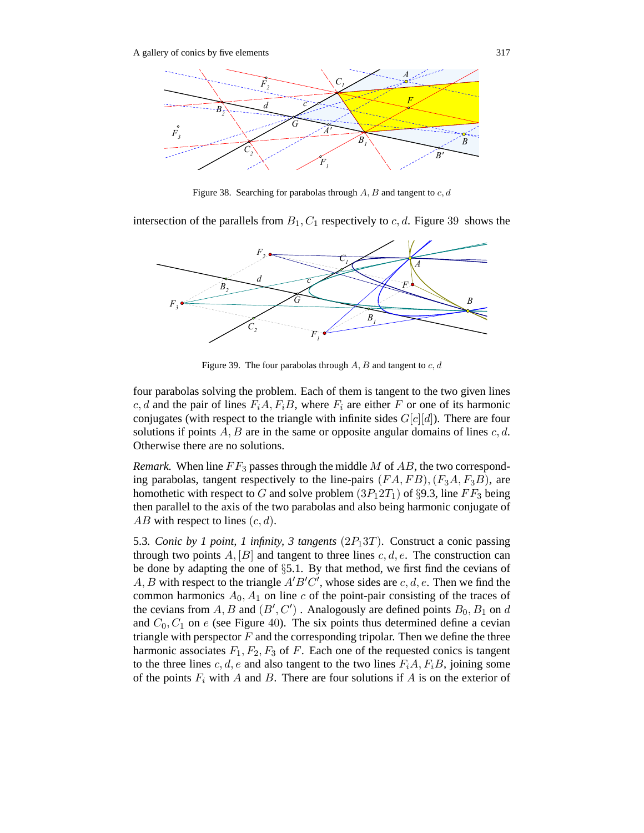

Figure 38. Searching for parabolas through  $A, B$  and tangent to  $c, d$ 

intersection of the parallels from  $B_1, C_1$  respectively to c, d. Figure 39 shows the



Figure 39. The four parabolas through  $A, B$  and tangent to  $c, d$ 

four parabolas solving the problem. Each of them is tangent to the two given lines c, d and the pair of lines  $F_iA, F_iB$ , where  $F_i$  are either F or one of its harmonic conjugates (with respect to the triangle with infinite sides  $G[c][d])$ . There are four solutions if points  $A, B$  are in the same or opposite angular domains of lines  $c, d$ . Otherwise there are no solutions.

*Remark.* When line  $FF_3$  passes through the middle M of AB, the two corresponding parabolas, tangent respectively to the line-pairs  $(FA, FB), (F_3A, F_3B)$ , are homothetic with respect to G and solve problem  $(3P_12T_1)$  of §9.3, line  $FF_3$  being then parallel to the axis of the two parabolas and also being harmonic conjugate of  $AB$  with respect to lines  $(c, d)$ .

5.3*. Conic by 1 point, 1 infinity, 3 tangents*  $(2P_13T)$ *.* Construct a conic passing through two points  $A$ ,  $[B]$  and tangent to three lines  $c, d, e$ . The construction can be done by adapting the one of §5.1. By that method, we first find the cevians of A, B with respect to the triangle  $A'B'C'$ , whose sides are c, d, e. Then we find the common harmonics  $A_0$ ,  $A_1$  on line c of the point-pair consisting of the traces of the cevians from  $A, B$  and  $(B', C')$ . Analogously are defined points  $B_0, B_1$  on d and  $C_0$ ,  $C_1$  on e (see Figure 40). The six points thus determined define a cevian triangle with perspector  $F$  and the corresponding tripolar. Then we define the three harmonic associates  $F_1, F_2, F_3$  of F. Each one of the requested conics is tangent to the three lines c, d, e and also tangent to the two lines  $F_iA, F_iB$ , joining some of the points  $F_i$  with A and B. There are four solutions if A is on the exterior of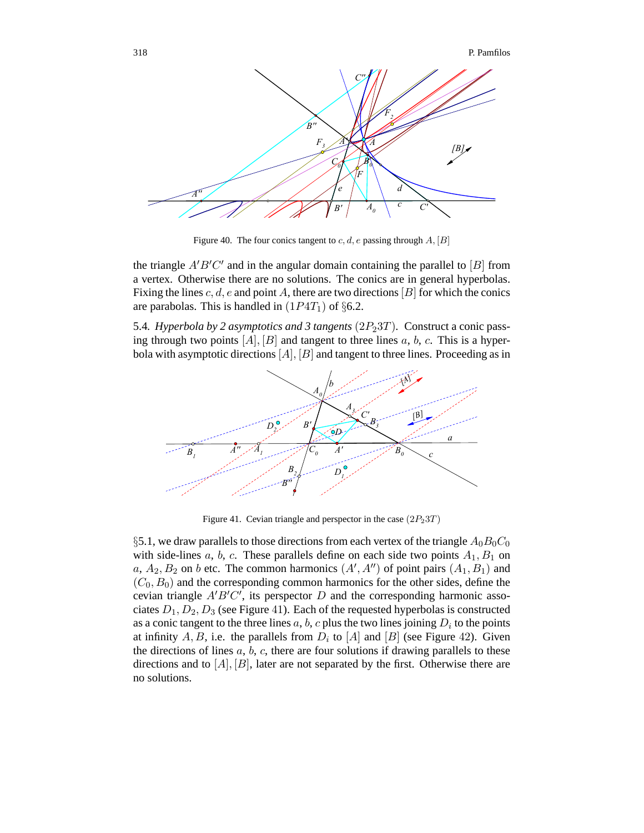

Figure 40. The four conics tangent to  $c, d, e$  passing through  $A, [B]$ 

the triangle  $A'B'C'$  and in the angular domain containing the parallel to [B] from a vertex. Otherwise there are no solutions. The conics are in general hyperbolas. Fixing the lines  $c, d, e$  and point A, there are two directions  $[B]$  for which the conics are parabolas. This is handled in  $(1P4T_1)$  of §6.2.

5.4. Hyperbola by 2 asymptotics and 3 tangents  $(2P<sub>2</sub>3T)$ . Construct a conic passing through two points  $[A], [B]$  and tangent to three lines a, b, c. This is a hyperbola with asymptotic directions  $[A], [B]$  and tangent to three lines. Proceeding as in



Figure 41. Cevian triangle and perspector in the case  $(2P<sub>2</sub>3T)$ 

§5.1, we draw parallels to those directions from each vertex of the triangle  $A_0B_0C_0$ with side-lines  $a, b, c$ . These parallels define on each side two points  $A_1, B_1$  on a,  $A_2$ ,  $B_2$  on b etc. The common harmonics  $(A', A'')$  of point pairs  $(A_1, B_1)$  and  $(C_0, B_0)$  and the corresponding common harmonics for the other sides, define the cevian triangle  $A'B'C'$ , its perspector D and the corresponding harmonic associates  $D_1, D_2, D_3$  (see Figure 41). Each of the requested hyperbolas is constructed as a conic tangent to the three lines  $a, b, c$  plus the two lines joining  $D_i$  to the points at infinity A, B, i.e. the parallels from  $D_i$  to [A] and [B] (see Figure 42). Given the directions of lines  $a, b, c$ , there are four solutions if drawing parallels to these directions and to  $[A], [B]$ , later are not separated by the first. Otherwise there are no solutions.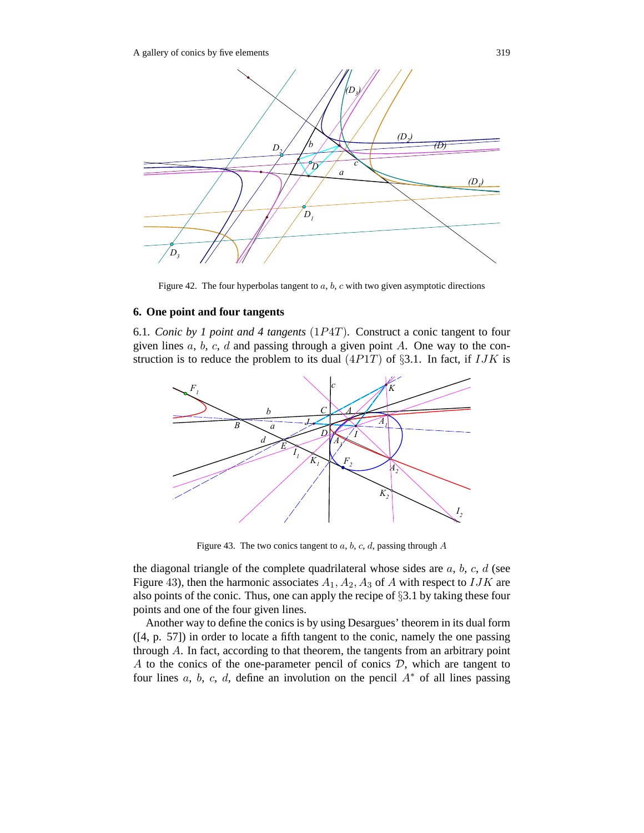

Figure 42. The four hyperbolas tangent to  $a, b, c$  with two given asymptotic directions

## **6. One point and four tangents**

6.1*. Conic by 1 point and 4 tangents* (1P4T)*.* Construct a conic tangent to four given lines  $a, b, c, d$  and passing through a given point  $A$ . One way to the construction is to reduce the problem to its dual  $(4P1T)$  of §3.1. In fact, if  $IJK$  is



Figure 43. The two conics tangent to  $a, b, c, d$ , passing through  $A$ 

the diagonal triangle of the complete quadrilateral whose sides are  $a, b, c, d$  (see Figure 43), then the harmonic associates  $A_1$ ,  $A_2$ ,  $A_3$  of A with respect to IJK are also points of the conic. Thus, one can apply the recipe of §3.1 by taking these four points and one of the four given lines.

Another way to define the conics is by using Desargues' theorem in its dual form ([4, p. 57]) in order to locate a fifth tangent to the conic, namely the one passing through A. In fact, according to that theorem, the tangents from an arbitrary point A to the conics of the one-parameter pencil of conics  $D$ , which are tangent to four lines a, b, c, d, define an involution on the pencil  $A^*$  of all lines passing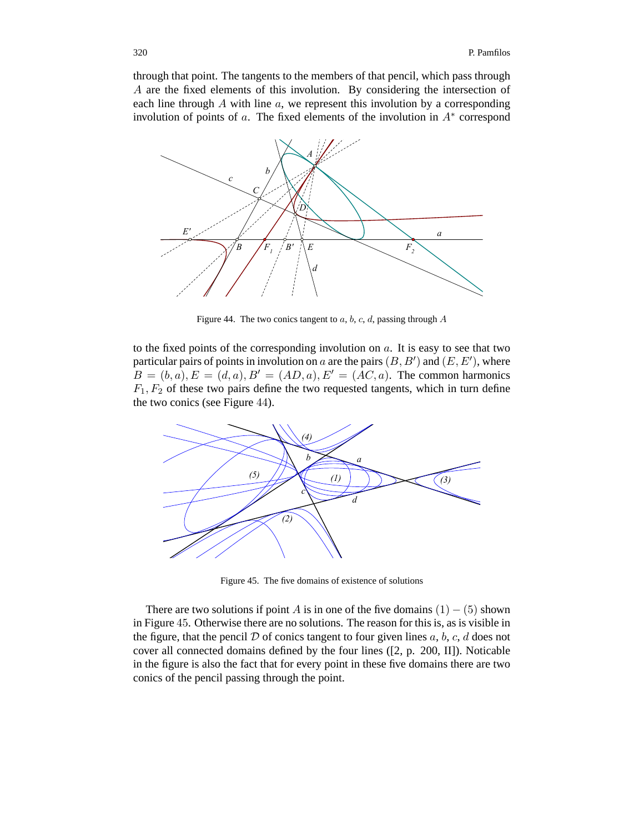through that point. The tangents to the members of that pencil, which pass through A are the fixed elements of this involution. By considering the intersection of each line through  $A$  with line  $a$ , we represent this involution by a corresponding involution of points of a. The fixed elements of the involution in  $A^*$  correspond



Figure 44. The two conics tangent to  $a, b, c, d$ , passing through  $A$ 

to the fixed points of the corresponding involution on  $a$ . It is easy to see that two particular pairs of points in involution on a are the pairs  $(B, B')$  and  $(E, E'),$  where  $B = (b, a), E = (d, a), B' = (AD, a), E' = (AC, a)$ . The common harmonics  $F_1, F_2$  of these two pairs define the two requested tangents, which in turn define the two conics (see Figure 44).



Figure 45. The five domains of existence of solutions

There are two solutions if point A is in one of the five domains  $(1) - (5)$  shown in Figure 45. Otherwise there are no solutions. The reason for this is, as is visible in the figure, that the pencil  $D$  of conics tangent to four given lines  $a, b, c, d$  does not cover all connected domains defined by the four lines ([2, p. 200, II]). Noticable in the figure is also the fact that for every point in these five domains there are two conics of the pencil passing through the point.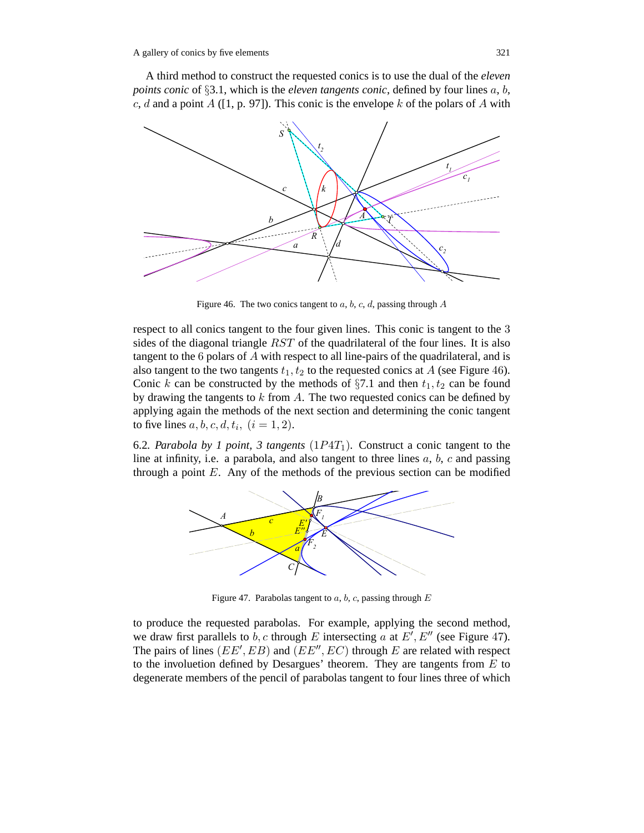A third method to construct the requested conics is to use the dual of the *eleven points conic* of §3.1, which is the *eleven tangents conic*, defined by four lines a, b, c, d and a point  $A$  ([1, p. 97]). This conic is the envelope k of the polars of A with



Figure 46. The two conics tangent to  $a, b, c, d$ , passing through  $A$ 

respect to all conics tangent to the four given lines. This conic is tangent to the 3 sides of the diagonal triangle RST of the quadrilateral of the four lines. It is also tangent to the 6 polars of A with respect to all line-pairs of the quadrilateral, and is also tangent to the two tangents  $t_1, t_2$  to the requested conics at A (see Figure 46). Conic k can be constructed by the methods of  $\S7.1$  and then  $t_1, t_2$  can be found by drawing the tangents to  $k$  from  $A$ . The two requested conics can be defined by applying again the methods of the next section and determining the conic tangent to five lines  $a, b, c, d, t_i$ ,  $(i = 1, 2)$ .

6.2. Parabola by 1 point, 3 tangents  $(1P4T<sub>1</sub>)$ . Construct a conic tangent to the line at infinity, i.e. a parabola, and also tangent to three lines  $a, b, c$  and passing through a point  $E$ . Any of the methods of the previous section can be modified



Figure 47. Parabolas tangent to  $a, b, c$ , passing through  $E$ 

to produce the requested parabolas. For example, applying the second method, we draw first parallels to b, c through E intersecting a at  $E'$ ,  $E''$  (see Figure 47). The pairs of lines ( $EE', EB$ ) and ( $EE'', EC$ ) through E are related with respect to the involuetion defined by Desargues' theorem. They are tangents from  $E$  to degenerate members of the pencil of parabolas tangent to four lines three of which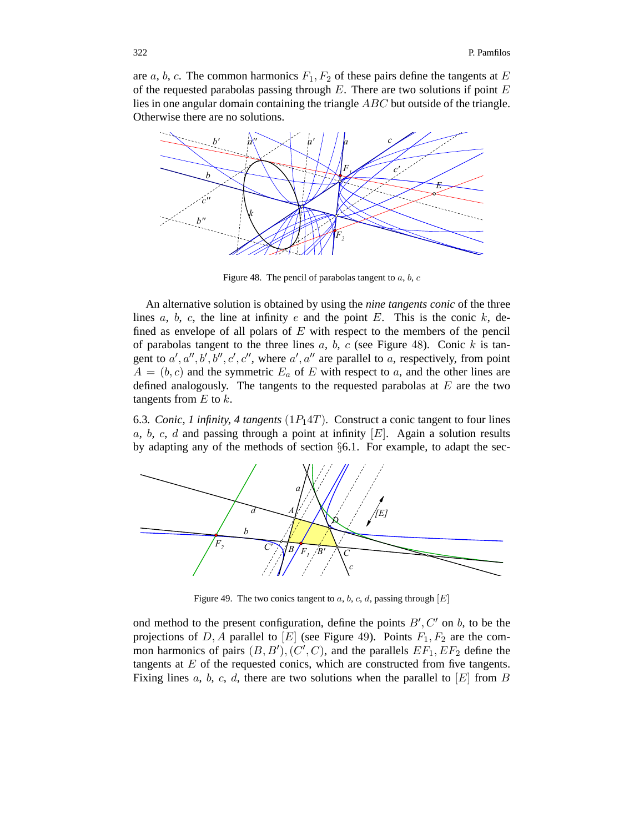are a, b, c. The common harmonics  $F_1, F_2$  of these pairs define the tangents at E of the requested parabolas passing through  $E$ . There are two solutions if point  $E$ lies in one angular domain containing the triangle ABC but outside of the triangle. Otherwise there are no solutions.



Figure 48. The pencil of parabolas tangent to  $a, b, c$ 

An alternative solution is obtained by using the *nine tangents conic* of the three lines  $a, b, c$ , the line at infinity  $e$  and the point  $E$ . This is the conic  $k$ , defined as envelope of all polars of  $E$  with respect to the members of the pencil of parabolas tangent to the three lines  $a, b, c$  (see Figure 48). Conic  $k$  is tangent to  $a', a'', b', b'', c', c'',$  where  $a', a''$  are parallel to a, respectively, from point  $A = (b, c)$  and the symmetric  $E_a$  of E with respect to a, and the other lines are defined analogously. The tangents to the requested parabolas at  $E$  are the two tangents from  $E$  to  $k$ .

6.3. Conic, 1 infinity, 4 tangents  $(1P_14T)$ . Construct a conic tangent to four lines a, b, c, d and passing through a point at infinity  $[E]$ . Again a solution results by adapting any of the methods of section §6.1. For example, to adapt the sec-



Figure 49. The two conics tangent to a, b, c, d, passing through  $[E]$ 

ond method to the present configuration, define the points  $B', C'$  on b, to be the projections of D, A parallel to [E] (see Figure 49). Points  $F_1, F_2$  are the common harmonics of pairs  $(B, B'), (C', C)$ , and the parallels  $EF_1, EF_2$  define the tangents at  $E$  of the requested conics, which are constructed from five tangents. Fixing lines  $a, b, c, d$ , there are two solutions when the parallel to  $[E]$  from  $B$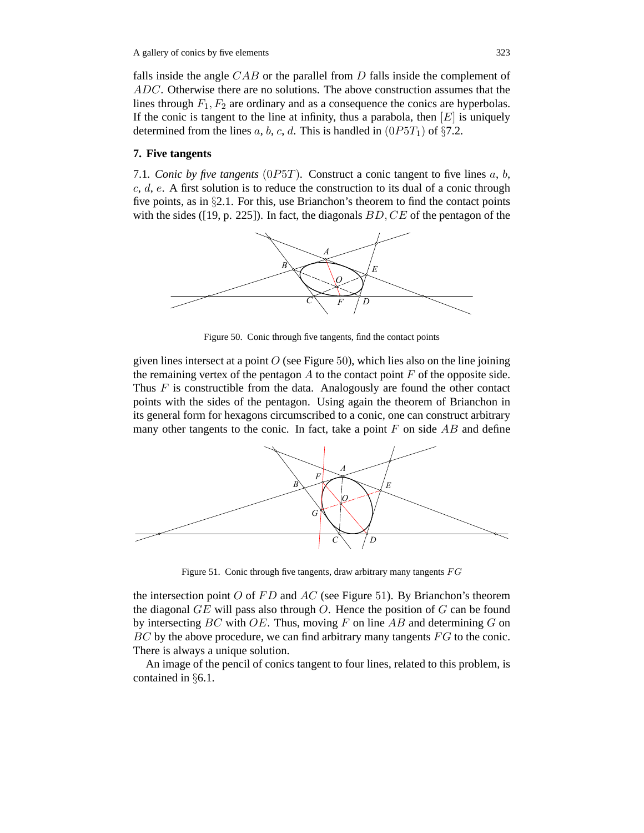falls inside the angle  $CAB$  or the parallel from  $D$  falls inside the complement of ADC. Otherwise there are no solutions. The above construction assumes that the lines through  $F_1, F_2$  are ordinary and as a consequence the conics are hyperbolas. If the conic is tangent to the line at infinity, thus a parabola, then  $[E]$  is uniquely determined from the lines a, b, c, d. This is handled in  $(0P5T_1)$  of §7.2.

#### **7. Five tangents**

7.1*. Conic by five tangents*  $(0P5T)$ *.* Construct a conic tangent to five lines a, b,  $c, d, e$ . A first solution is to reduce the construction to its dual of a conic through five points, as in §2.1. For this, use Brianchon's theorem to find the contact points with the sides ([19, p. 225]). In fact, the diagonals  $BD, CE$  of the pentagon of the



Figure 50. Conic through five tangents, find the contact points

given lines intersect at a point  $O$  (see Figure 50), which lies also on the line joining the remaining vertex of the pentagon  $A$  to the contact point  $F$  of the opposite side. Thus  $F$  is constructible from the data. Analogously are found the other contact points with the sides of the pentagon. Using again the theorem of Brianchon in its general form for hexagons circumscribed to a conic, one can construct arbitrary many other tangents to the conic. In fact, take a point  $F$  on side  $AB$  and define



Figure 51. Conic through five tangents, draw arbitrary many tangents  $FG$ 

the intersection point  $O$  of  $FD$  and  $AC$  (see Figure 51). By Brianchon's theorem the diagonal  $GE$  will pass also through O. Hence the position of G can be found by intersecting  $BC$  with  $OE$ . Thus, moving F on line  $AB$  and determining G on  $BC$  by the above procedure, we can find arbitrary many tangents  $FG$  to the conic. There is always a unique solution.

An image of the pencil of conics tangent to four lines, related to this problem, is contained in §6.1.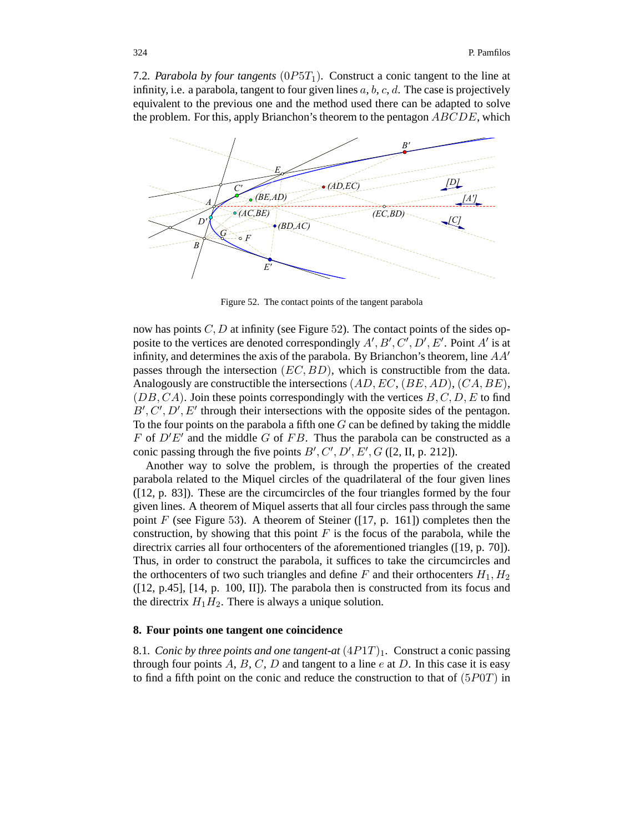7.2. Parabola by four tangents  $(0P5T_1)$ . Construct a conic tangent to the line at infinity, i.e. a parabola, tangent to four given lines  $a, b, c, d$ . The case is projectively equivalent to the previous one and the method used there can be adapted to solve the problem. For this, apply Brianchon's theorem to the pentagon  $ABCDE$ , which



Figure 52. The contact points of the tangent parabola

now has points  $C, D$  at infinity (see Figure 52). The contact points of the sides opposite to the vertices are denoted correspondingly  $A', B', C', D', E'$ . Point A' is at infinity, and determines the axis of the parabola. By Brianchon's theorem, line  $AA'$ passes through the intersection  $(EC, BD)$ , which is constructible from the data. Analogously are constructible the intersections  $(AD, EC, (BE, AD), (CA, BE),$  $(DB, CA)$ . Join these points correspondingly with the vertices  $B, C, D, E$  to find  $B', C', D', E'$  through their intersections with the opposite sides of the pentagon. To the four points on the parabola a fifth one  $G$  can be defined by taking the middle F of  $D'E'$  and the middle G of FB. Thus the parabola can be constructed as a conic passing through the five points  $B', C', D', E', G$  ([2, II, p. 212]).

Another way to solve the problem, is through the properties of the created parabola related to the Miquel circles of the quadrilateral of the four given lines ([12, p. 83]). These are the circumcircles of the four triangles formed by the four given lines. A theorem of Miquel asserts that all four circles pass through the same point  $F$  (see Figure 53). A theorem of Steiner ([17, p. 161]) completes then the construction, by showing that this point  $F$  is the focus of the parabola, while the directrix carries all four orthocenters of the aforementioned triangles ([19, p. 70]). Thus, in order to construct the parabola, it suffices to take the circumcircles and the orthocenters of two such triangles and define F and their orthocenters  $H_1, H_2$ ([12, p.45], [14, p. 100, II]). The parabola then is constructed from its focus and the directrix  $H_1H_2$ . There is always a unique solution.

# **8. Four points one tangent one coincidence**

8.1*. Conic by three points and one tangent-at*  $(4P1T)_1$ . Construct a conic passing through four points  $A, B, C, D$  and tangent to a line  $e$  at  $D$ . In this case it is easy to find a fifth point on the conic and reduce the construction to that of  $(5P0T)$  in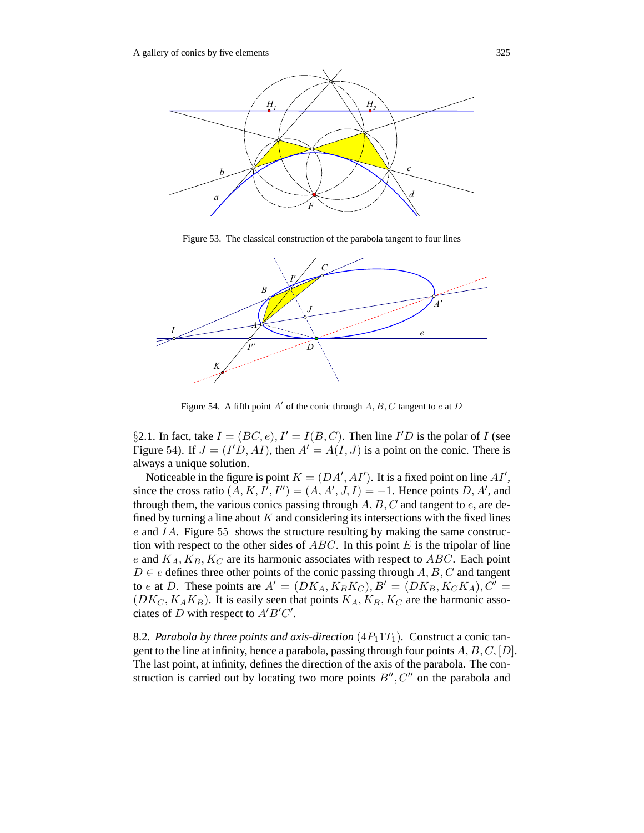

Figure 53. The classical construction of the parabola tangent to four lines



Figure 54. A fifth point A' of the conic through  $A, B, C$  tangent to e at D

§2.1. In fact, take  $I = (BC, e), I' = I(B, C)$ . Then line I'D is the polar of I (see Figure 54). If  $J = (I'D, AI)$ , then  $A' = A(I, J)$  is a point on the conic. There is always a unique solution.

Noticeable in the figure is point  $K = (DA', AI')$ . It is a fixed point on line  $AI'$ , since the cross ratio  $(A, K, I', I'') = (A, A', J, I) = -1$ . Hence points D, A', and through them, the various conics passing through  $A, B, C$  and tangent to e, are defined by turning a line about  $K$  and considering its intersections with the fixed lines e and IA. Figure 55 shows the structure resulting by making the same construction with respect to the other sides of  $ABC$ . In this point  $E$  is the tripolar of line e and  $K_A, K_B, K_C$  are its harmonic associates with respect to ABC. Each point  $D \in e$  defines three other points of the conic passing through  $A, B, C$  and tangent to e at D. These points are  $A' = (DK_A, K_B K_C), B' = (DK_B, K_C K_A), C' =$  $(DK_C, K_A K_B)$ . It is easily seen that points  $K_A, K_B, K_C$  are the harmonic associates of D with respect to  $A'B'C'$ .

8.2. Parabola by three points and axis-direction  $(4P_11T_1)$ . Construct a conic tangent to the line at infinity, hence a parabola, passing through four points  $A, B, C, [D]$ . The last point, at infinity, defines the direction of the axis of the parabola. The construction is carried out by locating two more points  $B''$ ,  $C''$  on the parabola and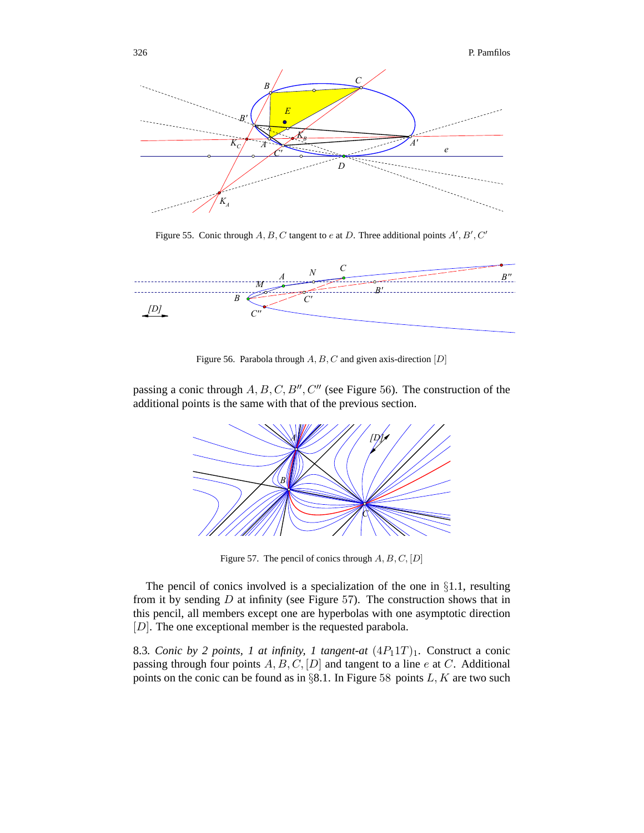

Figure 55. Conic through  $A, B, C$  tangent to e at D. Three additional points  $A', B', C'$ 



Figure 56. Parabola through  $A, B, C$  and given axis-direction  $[D]$ 

passing a conic through  $A, B, C, B'', C''$  (see Figure 56). The construction of the additional points is the same with that of the previous section.



Figure 57. The pencil of conics through  $A, B, C, [D]$ 

The pencil of conics involved is a specialization of the one in §1.1, resulting from it by sending  $D$  at infinity (see Figure 57). The construction shows that in this pencil, all members except one are hyperbolas with one asymptotic direction [D]. The one exceptional member is the requested parabola.

8.3*. Conic by 2 points, 1 at infinity, 1 tangent-at*  $(4P_11T)_1$ *. Construct a conic* passing through four points  $A, B, C, [D]$  and tangent to a line e at C. Additional points on the conic can be found as in §8.1. In Figure 58 points  $L, K$  are two such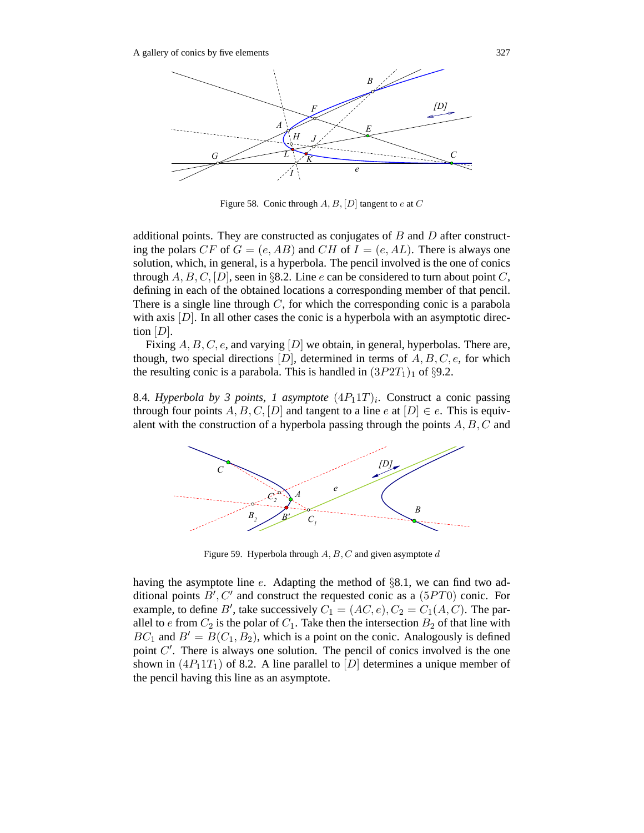

Figure 58. Conic through  $A, B, [D]$  tangent to e at  $C$ 

additional points. They are constructed as conjugates of  $B$  and  $D$  after constructing the polars CF of  $G = (e, AB)$  and CH of  $I = (e, AL)$ . There is always one solution, which, in general, is a hyperbola. The pencil involved is the one of conics through  $A, B, C, [D]$ , seen in §8.2. Line e can be considered to turn about point C, defining in each of the obtained locations a corresponding member of that pencil. There is a single line through  $C$ , for which the corresponding conic is a parabola with axis  $[D]$ . In all other cases the conic is a hyperbola with an asymptotic direction  $[D]$ .

Fixing  $A, B, C, e$ , and varying  $[D]$  we obtain, in general, hyperbolas. There are, though, two special directions  $[D]$ , determined in terms of  $A, B, C, e$ , for which the resulting conic is a parabola. This is handled in  $(3P2T<sub>1</sub>)<sub>1</sub>$  of §9.2.

8.4*. Hyperbola by 3 points, 1 asymptote*  $(4P_11T)_i$ . Construct a conic passing through four points A, B, C, [D] and tangent to a line e at  $[D] \in e$ . This is equivalent with the construction of a hyperbola passing through the points  $A, B, C$  and



Figure 59. Hyperbola through  $A, B, C$  and given asymptote  $d$ 

having the asymptote line e. Adapting the method of §8.1, we can find two additional points  $B', C'$  and construct the requested conic as a  $(5PT0)$  conic. For example, to define B', take successively  $C_1 = (AC, e), C_2 = C_1(A, C)$ . The parallel to  $e$  from  $C_2$  is the polar of  $C_1$ . Take then the intersection  $B_2$  of that line with  $BC_1$  and  $B' = B(C_1, B_2)$ , which is a point on the conic. Analogously is defined point  $C'$ . There is always one solution. The pencil of conics involved is the one shown in  $(4P_11T_1)$  of 8.2. A line parallel to  $[D]$  determines a unique member of the pencil having this line as an asymptote.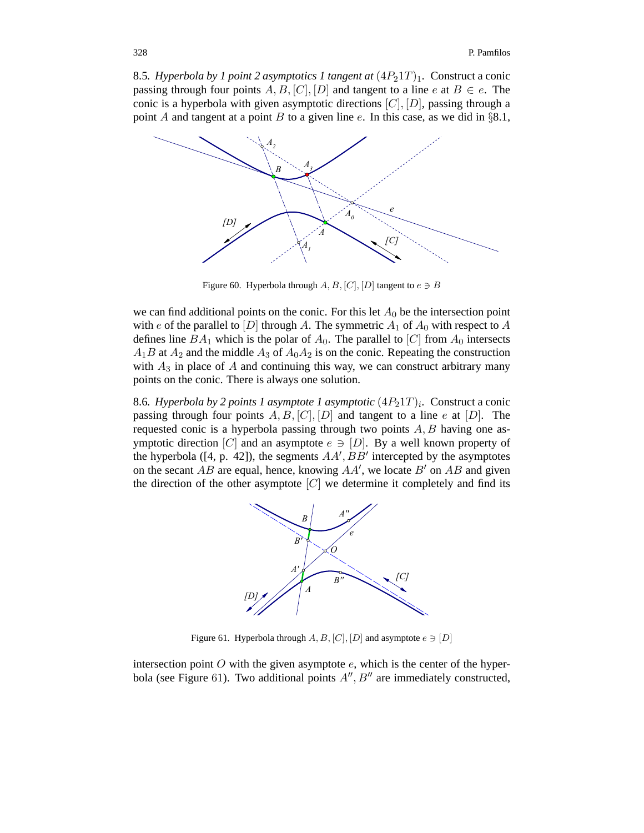8.5. Hyperbola by 1 point 2 asymptotics 1 tangent at  $(4P_21T)_1$ . Construct a conic passing through four points A, B, [C], [D] and tangent to a line e at  $B \in e$ . The conic is a hyperbola with given asymptotic directions  $[C], [D]$ , passing through a point A and tangent at a point B to a given line e. In this case, as we did in  $\S 8.1$ ,



Figure 60. Hyperbola through  $A, B, [C], [D]$  tangent to  $e \ni B$ 

we can find additional points on the conic. For this let  $A_0$  be the intersection point with e of the parallel to [D] through A. The symmetric  $A_1$  of  $A_0$  with respect to A defines line  $BA_1$  which is the polar of  $A_0$ . The parallel to [C] from  $A_0$  intersects  $A_1B$  at  $A_2$  and the middle  $A_3$  of  $A_0A_2$  is on the conic. Repeating the construction with  $A_3$  in place of A and continuing this way, we can construct arbitrary many points on the conic. There is always one solution.

8.6*. Hyperbola by 2 points 1 asymptote 1 asymptotic*  $(4P_21T)_i$ *.* Construct a conic passing through four points  $A, B, [C], [D]$  and tangent to a line e at  $[D]$ . The requested conic is a hyperbola passing through two points  $A, B$  having one asymptotic direction [C] and an asymptote  $e \ni [D]$ . By a well known property of the hyperbola ([4, p. 42]), the segments  $AA', BB'$  intercepted by the asymptotes on the secant AB are equal, hence, knowing  $AA'$ , we locate  $B'$  on AB and given the direction of the other asymptote  $[C]$  we determine it completely and find its



Figure 61. Hyperbola through  $A, B, [C], [D]$  and asymptote  $e \ni [D]$ 

intersection point  $O$  with the given asymptote  $e$ , which is the center of the hyperbola (see Figure 61). Two additional points  $A''$ ,  $B''$  are immediately constructed,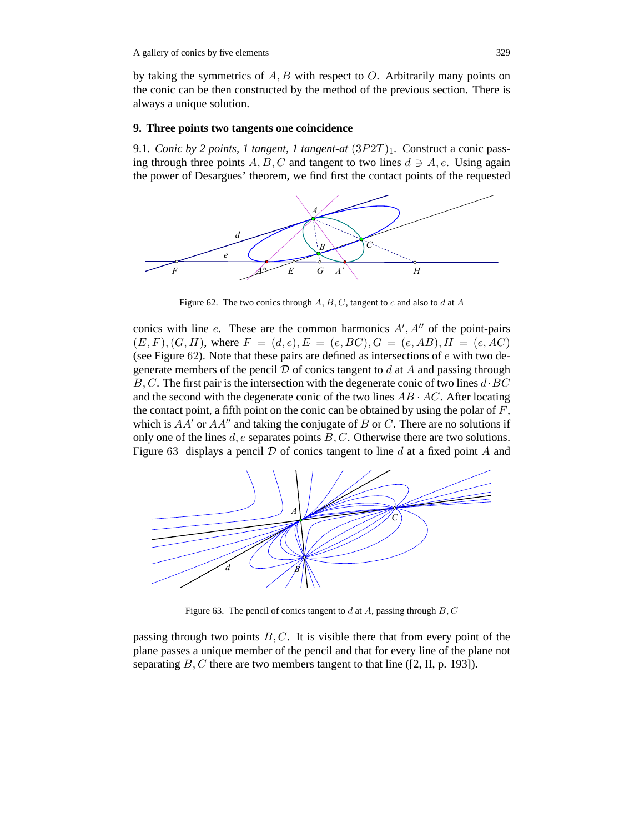by taking the symmetrics of  $A, B$  with respect to  $O$ . Arbitrarily many points on the conic can be then constructed by the method of the previous section. There is always a unique solution.

# **9. Three points two tangents one coincidence**

9.1*. Conic by 2 points, 1 tangent, 1 tangent-at*  $(3P2T)_1$ *. Construct a conic pass*ing through three points A, B, C and tangent to two lines  $d \ni A, e$ . Using again the power of Desargues' theorem, we find first the contact points of the requested



Figure 62. The two conics through  $A, B, C$ , tangent to e and also to d at A

conics with line e. These are the common harmonics  $A', A''$  of the point-pairs  $(E, F), (G, H)$ , where  $F = (d, e), E = (e, BC), G = (e, AB), H = (e, AC)$ (see Figure 62). Note that these pairs are defined as intersections of  $e$  with two degenerate members of the pencil  $D$  of conics tangent to  $d$  at  $A$  and passing through  $B, C$ . The first pair is the intersection with the degenerate conic of two lines  $d \cdot BC$ and the second with the degenerate conic of the two lines  $AB \cdot AC$ . After locating the contact point, a fifth point on the conic can be obtained by using the polar of  $F$ , which is  $AA'$  or  $AA''$  and taking the conjugate of B or C. There are no solutions if only one of the lines  $d$ ,  $e$  separates points  $B$ ,  $C$ . Otherwise there are two solutions. Figure 63 displays a pencil  $D$  of conics tangent to line  $d$  at a fixed point  $A$  and



Figure 63. The pencil of conics tangent to d at A, passing through  $B, C$ 

passing through two points  $B, C$ . It is visible there that from every point of the plane passes a unique member of the pencil and that for every line of the plane not separating  $B, C$  there are two members tangent to that line ([2, II, p. 193]).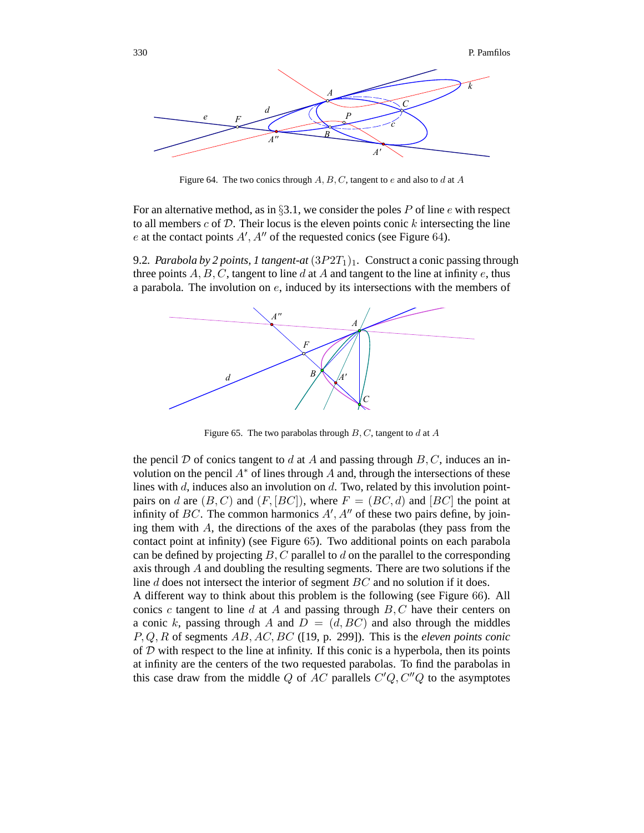

Figure 64. The two conics through  $A, B, C$ , tangent to e and also to d at A

For an alternative method, as in §3.1, we consider the poles P of line  $e$  with respect to all members  $c$  of  $D$ . Their locus is the eleven points conic  $k$  intersecting the line e at the contact points  $A', A''$  of the requested conics (see Figure 64).

9.2. Parabola by 2 points, 1 tangent-at  $(3P2T_1)_1$ . Construct a conic passing through three points  $A, B, C$ , tangent to line d at A and tangent to the line at infinity e, thus a parabola. The involution on e, induced by its intersections with the members of



Figure 65. The two parabolas through  $B, C$ , tangent to d at A

the pencil D of conics tangent to d at A and passing through  $B, C$ , induces an involution on the pencil  $A^*$  of lines through A and, through the intersections of these lines with  $d$ , induces also an involution on  $d$ . Two, related by this involution pointpairs on d are  $(B, C)$  and  $(F, [BC])$ , where  $F = (BC, d)$  and  $[BC]$  the point at infinity of BC. The common harmonics  $A'$ ,  $A''$  of these two pairs define, by joining them with  $A$ , the directions of the axes of the parabolas (they pass from the contact point at infinity) (see Figure 65). Two additional points on each parabola can be defined by projecting  $B, C$  parallel to d on the parallel to the corresponding axis through A and doubling the resulting segments. There are two solutions if the line d does not intersect the interior of segment BC and no solution if it does.

A different way to think about this problem is the following (see Figure 66). All conics c tangent to line d at A and passing through  $B, C$  have their centers on a conic k, passing through A and  $D = (d, BC)$  and also through the middles P, Q, R of segments AB, AC, BC ([19, p. 299]). This is the *eleven points conic* of  $D$  with respect to the line at infinity. If this conic is a hyperbola, then its points at infinity are the centers of the two requested parabolas. To find the parabolas in this case draw from the middle Q of AC parallels  $C'Q$ ,  $C''Q$  to the asymptotes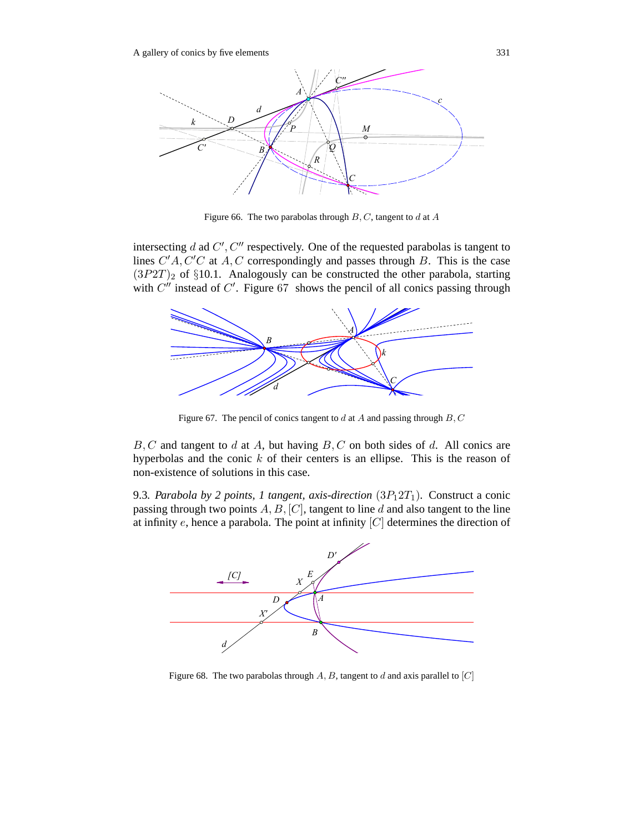

Figure 66. The two parabolas through  $B, C$ , tangent to d at  $A$ 

intersecting d ad  $C', C''$  respectively. One of the requested parabolas is tangent to lines  $C'A$ ,  $C'C$  at  $A, C$  correspondingly and passes through  $B$ . This is the case  $(3P2T)_2$  of §10.1. Analogously can be constructed the other parabola, starting with  $C''$  instead of  $C'$ . Figure 67 shows the pencil of all conics passing through



Figure 67. The pencil of conics tangent to  $d$  at  $A$  and passing through  $B, C$ 

 $B, C$  and tangent to d at A, but having  $B, C$  on both sides of d. All conics are hyperbolas and the conic  $k$  of their centers is an ellipse. This is the reason of non-existence of solutions in this case.

9.3. Parabola by 2 points, 1 tangent, axis-direction  $(3P_12T_1)$ . Construct a conic passing through two points  $A, B, [C]$ , tangent to line d and also tangent to the line at infinity  $e$ , hence a parabola. The point at infinity  $[C]$  determines the direction of



Figure 68. The two parabolas through  $A, B$ , tangent to d and axis parallel to  $[C]$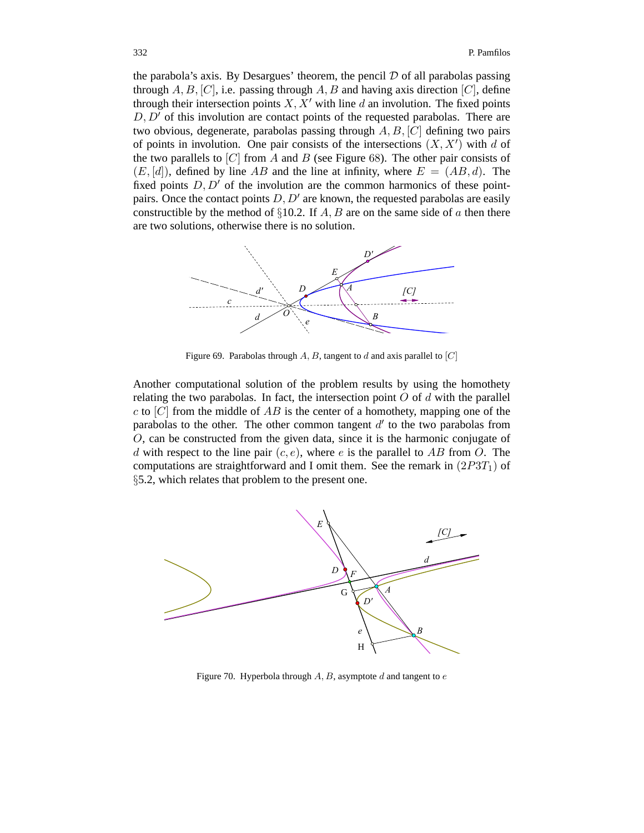the parabola's axis. By Desargues' theorem, the pencil  $D$  of all parabolas passing through  $A, B, [C]$ , i.e. passing through  $A, B$  and having axis direction  $[C]$ , define through their intersection points  $X, X'$  with line d an involution. The fixed points  $D, D'$  of this involution are contact points of the requested parabolas. There are two obvious, degenerate, parabolas passing through  $A, B, [C]$  defining two pairs of points in involution. One pair consists of the intersections  $(X, X')$  with d of the two parallels to  $[C]$  from A and B (see Figure 68). The other pair consists of  $(E, [d])$ , defined by line AB and the line at infinity, where  $E = (AB, d)$ . The fixed points  $D, D'$  of the involution are the common harmonics of these pointpairs. Once the contact points  $D, D'$  are known, the requested parabolas are easily constructible by the method of  $\S 10.2$ . If A, B are on the same side of a then there are two solutions, otherwise there is no solution.



Figure 69. Parabolas through  $A, B$ , tangent to d and axis parallel to  $|C|$ 

Another computational solution of the problem results by using the homothety relating the two parabolas. In fact, the intersection point  $O$  of  $d$  with the parallel  $c$  to  $[C]$  from the middle of  $AB$  is the center of a homothety, mapping one of the parabolas to the other. The other common tangent  $d'$  to the two parabolas from O, can be constructed from the given data, since it is the harmonic conjugate of d with respect to the line pair  $(c, e)$ , where e is the parallel to AB from O. The computations are straightforward and I omit them. See the remark in  $(2P3T<sub>1</sub>)$  of §5.2, which relates that problem to the present one.



Figure 70. Hyperbola through  $A, B$ , asymptote  $d$  and tangent to  $e$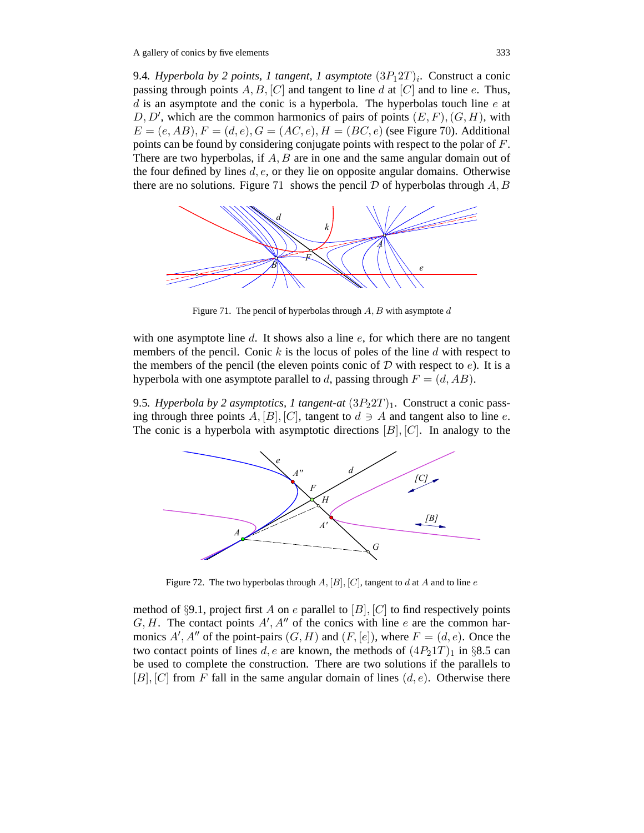9.4*. Hyperbola by 2 points, 1 tangent, 1 asymptote*  $(3P_12T)_i$ . Construct a conic passing through points  $A, B, [C]$  and tangent to line d at  $[C]$  and to line e. Thus,  $d$  is an asymptote and the conic is a hyperbola. The hyperbolas touch line  $e$  at  $D, D'$ , which are the common harmonics of pairs of points  $(E, F), (G, H)$ , with  $E = (e, AB), F = (d, e), G = (AC, e), H = (BC, e)$  (see Figure 70). Additional points can be found by considering conjugate points with respect to the polar of F. There are two hyperbolas, if  $A, B$  are in one and the same angular domain out of the four defined by lines  $d, e$ , or they lie on opposite angular domains. Otherwise there are no solutions. Figure 71 shows the pencil  $D$  of hyperbolas through  $A, B$ 



Figure 71. The pencil of hyperbolas through  $A, B$  with asymptote  $d$ 

with one asymptote line d. It shows also a line  $e$ , for which there are no tangent members of the pencil. Conic  $k$  is the locus of poles of the line  $d$  with respect to the members of the pencil (the eleven points conic of  $D$  with respect to e). It is a hyperbola with one asymptote parallel to d, passing through  $F = (d, AB)$ .

9.5*. Hyperbola by 2 asymptotics, 1 tangent-at*  $(3P<sub>2</sub>2T)<sub>1</sub>$ . Construct a conic passing through three points  $A$ ,  $[B]$ ,  $[C]$ , tangent to  $d \ni A$  and tangent also to line e. The conic is a hyperbola with asymptotic directions  $[B], [C]$ . In analogy to the



Figure 72. The two hyperbolas through  $A$ ,  $[B]$ ,  $[C]$ , tangent to  $d$  at  $A$  and to line  $e$ 

method of §9.1, project first A on e parallel to  $[B]$ ,  $[C]$  to find respectively points  $G, H$ . The contact points  $A', A''$  of the conics with line e are the common harmonics A', A'' of the point-pairs  $(G, H)$  and  $(F, [e])$ , where  $F = (d, e)$ . Once the two contact points of lines d, e are known, the methods of  $(4P_21T)_1$  in §8.5 can be used to complete the construction. There are two solutions if the parallels to  $[B], [C]$  from F fall in the same angular domain of lines  $(d, e)$ . Otherwise there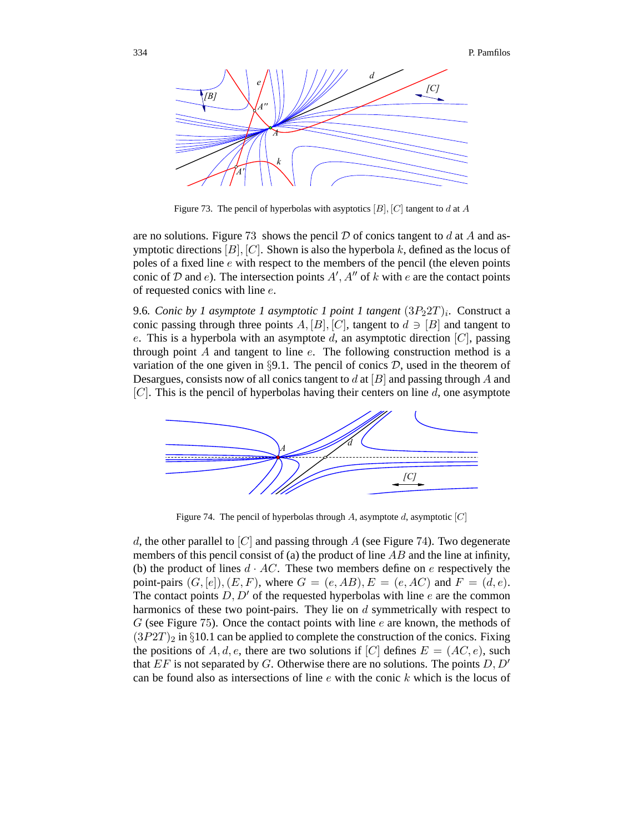

Figure 73. The pencil of hyperbolas with asyptotics  $[B], [C]$  tangent to d at A

are no solutions. Figure 73 shows the pencil  $\mathcal D$  of conics tangent to d at A and asymptotic directions  $[B]$ ,  $[C]$ . Shown is also the hyperbola k, defined as the locus of poles of a fixed line e with respect to the members of the pencil (the eleven points conic of D and e). The intersection points  $A', A''$  of k with e are the contact points of requested conics with line e.

9.6*. Conic by 1 asymptote 1 asymptotic 1 point 1 tangent*  $(3P_2 2T)_i$ *.* Construct a conic passing through three points A, [B], [C], tangent to  $d \ni [B]$  and tangent to e. This is a hyperbola with an asymptote d, an asymptotic direction  $[C]$ , passing through point  $A$  and tangent to line  $e$ . The following construction method is a variation of the one given in §9.1. The pencil of conics  $D$ , used in the theorem of Desargues, consists now of all conics tangent to  $d$  at  $[B]$  and passing through  $A$  and  $[C]$ . This is the pencil of hyperbolas having their centers on line  $d$ , one asymptote



Figure 74. The pencil of hyperbolas through A, asymptote d, asymptotic  $[C]$ 

d, the other parallel to  $[C]$  and passing through A (see Figure 74). Two degenerate members of this pencil consist of (a) the product of line  $AB$  and the line at infinity, (b) the product of lines  $d \cdot AC$ . These two members define on e respectively the point-pairs  $(G, [e]), (E, F)$ , where  $G = (e, AB), E = (e, AC)$  and  $F = (d, e)$ . The contact points  $D, D'$  of the requested hyperbolas with line e are the common harmonics of these two point-pairs. They lie on d symmetrically with respect to  $G$  (see Figure 75). Once the contact points with line  $e$  are known, the methods of  $(3P2T)_2$  in §10.1 can be applied to complete the construction of the conics. Fixing the positions of A, d, e, there are two solutions if [C] defines  $E = (AC, e)$ , such that  $EF$  is not separated by G. Otherwise there are no solutions. The points  $D, D'$ can be found also as intersections of line  $e$  with the conic  $k$  which is the locus of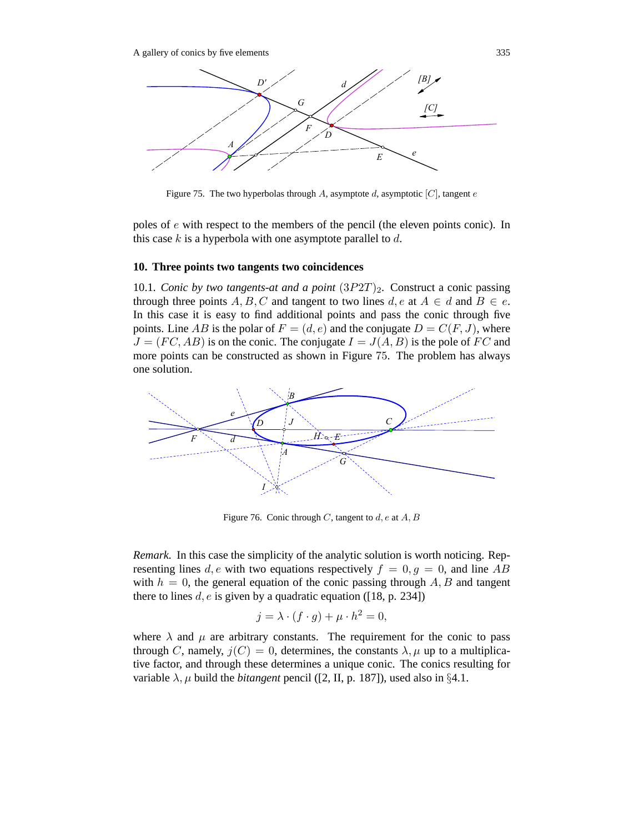

Figure 75. The two hyperbolas through A, asymptote d, asymptotic  $[C]$ , tangent e

poles of e with respect to the members of the pencil (the eleven points conic). In this case  $k$  is a hyperbola with one asymptote parallel to  $d$ .

#### **10. Three points two tangents two coincidences**

10.1*. Conic by two tangents-at and a point*  $(3P2T)_2$ *.* Construct a conic passing through three points A, B, C and tangent to two lines  $d, e$  at  $A \in d$  and  $B \in e$ . In this case it is easy to find additional points and pass the conic through five points. Line AB is the polar of  $F = (d, e)$  and the conjugate  $D = C(F, J)$ , where  $J = (FC, AB)$  is on the conic. The conjugate  $I = J(A, B)$  is the pole of FC and more points can be constructed as shown in Figure 75. The problem has always one solution.



Figure 76. Conic through C, tangent to  $d, e$  at  $A, B$ 

*Remark.* In this case the simplicity of the analytic solution is worth noticing. Representing lines d, e with two equations respectively  $f = 0, q = 0$ , and line AB with  $h = 0$ , the general equation of the conic passing through  $A, B$  and tangent there to lines d, e is given by a quadratic equation ([18, p. 234])

$$
j = \lambda \cdot (f \cdot g) + \mu \cdot h^2 = 0,
$$

where  $\lambda$  and  $\mu$  are arbitrary constants. The requirement for the conic to pass through C, namely,  $j(C)=0$ , determines, the constants  $\lambda$ ,  $\mu$  up to a multiplicative factor, and through these determines a unique conic. The conics resulting for variable  $\lambda$ ,  $\mu$  build the *bitangent* pencil ([2, II, p. 187]), used also in §4.1.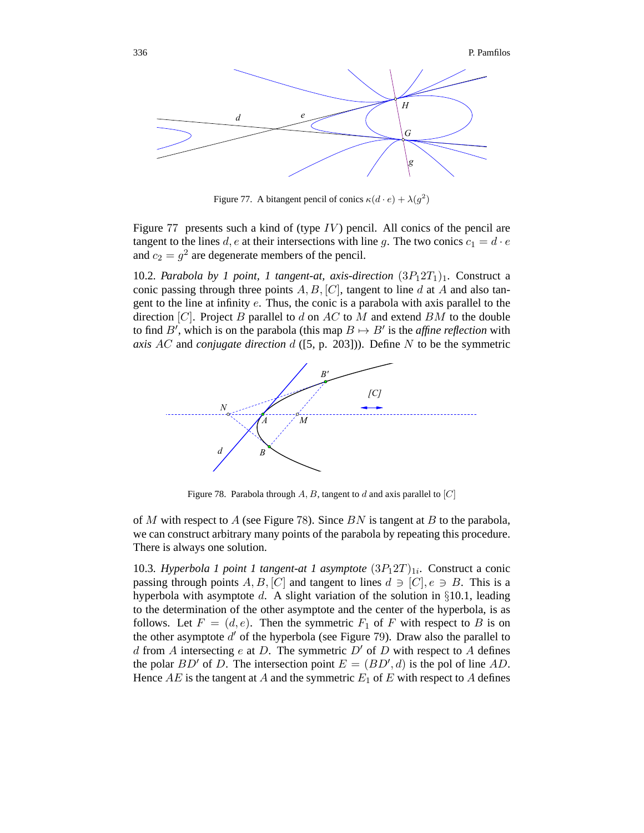

Figure 77. A bitangent pencil of conics  $\kappa(d \cdot e) + \lambda(g^2)$ 

Figure 77 presents such a kind of (type  $IV$ ) pencil. All conics of the pencil are tangent to the lines d, e at their intersections with line g. The two conics  $c_1 = d \cdot e$ and  $c_2 = g^2$  are degenerate members of the pencil.

10.2*. Parabola by 1 point, 1 tangent-at, axis-direction*  $(3P_12T_1)_1$ *.* Construct a conic passing through three points  $A, B, [C]$ , tangent to line d at A and also tangent to the line at infinity e. Thus, the conic is a parabola with axis parallel to the direction  $[C]$ . Project B parallel to d on AC to M and extend BM to the double to find B', which is on the parabola (this map  $B \mapsto B'$  is the *affine reflection* with *axis* AC and *conjugate direction* d ([5, p. 203])). Define N to be the symmetric



Figure 78. Parabola through  $A, B$ , tangent to d and axis parallel to  $|C|$ 

of M with respect to A (see Figure 78). Since  $BN$  is tangent at B to the parabola, we can construct arbitrary many points of the parabola by repeating this procedure. There is always one solution.

10.3*. Hyperbola 1 point 1 tangent-at 1 asymptote*  $(3P_12T)_{1i}$ . Construct a conic passing through points A, B, [C] and tangent to lines  $d \ni [C], e \ni B$ . This is a hyperbola with asymptote d. A slight variation of the solution in  $\S 10.1$ , leading to the determination of the other asymptote and the center of the hyperbola, is as follows. Let  $F = (d, e)$ . Then the symmetric  $F_1$  of F with respect to B is on the other asymptote  $d'$  of the hyperbola (see Figure 79). Draw also the parallel to d from A intersecting e at D. The symmetric  $D'$  of D with respect to A defines the polar  $BD'$  of D. The intersection point  $E = (BD', d)$  is the pol of line AD. Hence  $AE$  is the tangent at A and the symmetric  $E_1$  of E with respect to A defines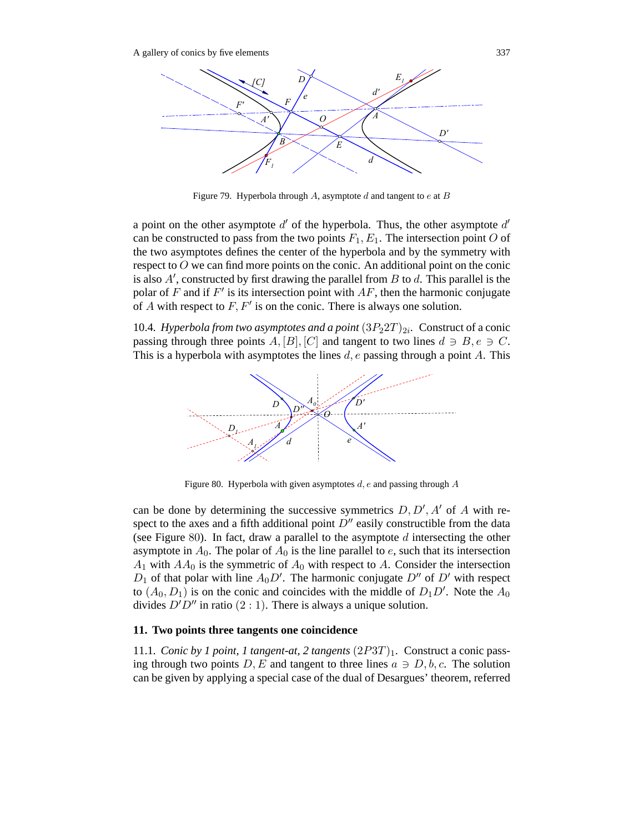

Figure 79. Hyperbola through A, asymptote  $d$  and tangent to  $e$  at  $B$ 

a point on the other asymptote  $d'$  of the hyperbola. Thus, the other asymptote  $d'$ can be constructed to pass from the two points  $F_1, E_1$ . The intersection point O of the two asymptotes defines the center of the hyperbola and by the symmetry with respect to O we can find more points on the conic. An additional point on the conic is also  $A'$ , constructed by first drawing the parallel from  $B$  to  $d$ . This parallel is the polar of F and if  $F'$  is its intersection point with  $AF$ , then the harmonic conjugate of A with respect to  $F, F'$  is on the conic. There is always one solution.

10.4. Hyperbola from two asymptotes and a point  $(3P_22T)_{2i}$ . Construct of a conic passing through three points A, [B], [C] and tangent to two lines  $d \ni B, e \ni C$ . This is a hyperbola with asymptotes the lines  $d, e$  passing through a point  $A$ . This



Figure 80. Hyperbola with given asymptotes  $d$ ,  $e$  and passing through  $A$ 

can be done by determining the successive symmetrics  $D, D', A'$  of A with respect to the axes and a fifth additional point  $D''$  easily constructible from the data (see Figure 80). In fact, draw a parallel to the asymptote  $d$  intersecting the other asymptote in  $A_0$ . The polar of  $A_0$  is the line parallel to e, such that its intersection  $A_1$  with  $AA_0$  is the symmetric of  $A_0$  with respect to A. Consider the intersection  $D_1$  of that polar with line  $A_0D'$ . The harmonic conjugate  $D''$  of  $D'$  with respect to  $(A_0, D_1)$  is on the conic and coincides with the middle of  $D_1D'$ . Note the  $A_0$ divides  $D'D''$  in ratio  $(2:1)$ . There is always a unique solution.

#### **11. Two points three tangents one coincidence**

11.1*. Conic by 1 point, 1 tangent-at, 2 tangents*  $(2P3T)_1$ *. Construct a conic pass*ing through two points D, E and tangent to three lines  $a \ni D, b, c$ . The solution can be given by applying a special case of the dual of Desargues' theorem, referred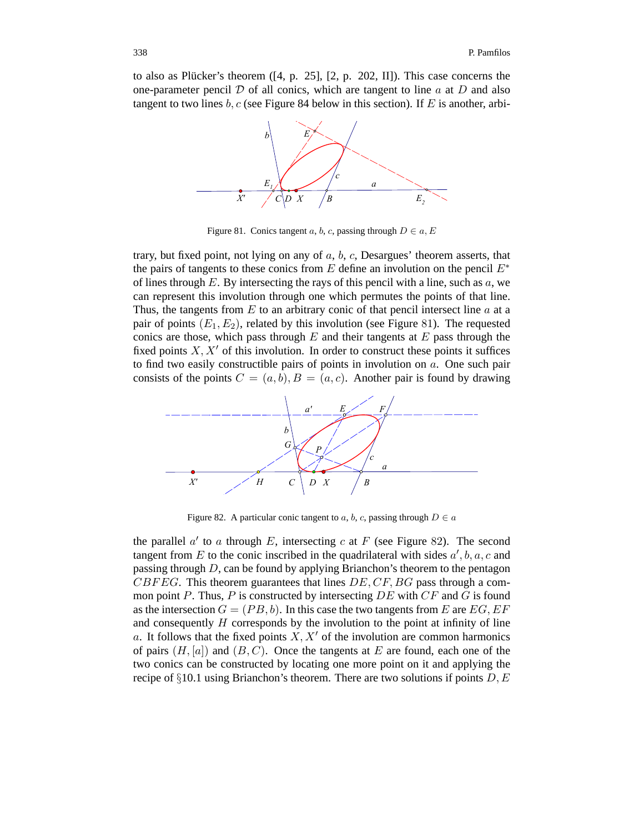to also as Plücker's theorem  $([4, p. 25], [2, p. 202, II])$ . This case concerns the one-parameter pencil  $D$  of all conics, which are tangent to line  $a$  at  $D$  and also tangent to two lines  $b, c$  (see Figure 84 below in this section). If E is another, arbi-



Figure 81. Conics tangent a, b, c, passing through  $D \in a, E$ 

trary, but fixed point, not lying on any of  $a, b, c$ , Desargues' theorem asserts, that the pairs of tangents to these conics from E define an involution on the pencil  $E^*$ of lines through  $E$ . By intersecting the rays of this pencil with a line, such as  $a$ , we can represent this involution through one which permutes the points of that line. Thus, the tangents from  $E$  to an arbitrary conic of that pencil intersect line  $a$  at a pair of points  $(E_1, E_2)$ , related by this involution (see Figure 81). The requested conics are those, which pass through  $E$  and their tangents at  $E$  pass through the fixed points  $X, X'$  of this involution. In order to construct these points it suffices to find two easily constructible pairs of points in involution on a. One such pair consists of the points  $C = (a, b), B = (a, c)$ . Another pair is found by drawing



Figure 82. A particular conic tangent to a, b, c, passing through  $D \in \mathfrak{a}$ 

the parallel  $a'$  to a through E, intersecting c at F (see Figure 82). The second tangent from E to the conic inscribed in the quadrilateral with sides  $a', b, a, c$  and passing through D, can be found by applying Brianchon's theorem to the pentagon  $CBFEG$ . This theorem guarantees that lines  $DE, CF, BG$  pass through a common point  $P$ . Thus,  $P$  is constructed by intersecting  $DE$  with  $CF$  and  $G$  is found as the intersection  $G = (PB, b)$ . In this case the two tangents from E are EG, EF and consequently  $H$  corresponds by the involution to the point at infinity of line a. It follows that the fixed points  $X, X'$  of the involution are common harmonics of pairs  $(H, [a])$  and  $(B, C)$ . Once the tangents at E are found, each one of the two conics can be constructed by locating one more point on it and applying the recipe of §10.1 using Brianchon's theorem. There are two solutions if points  $D, E$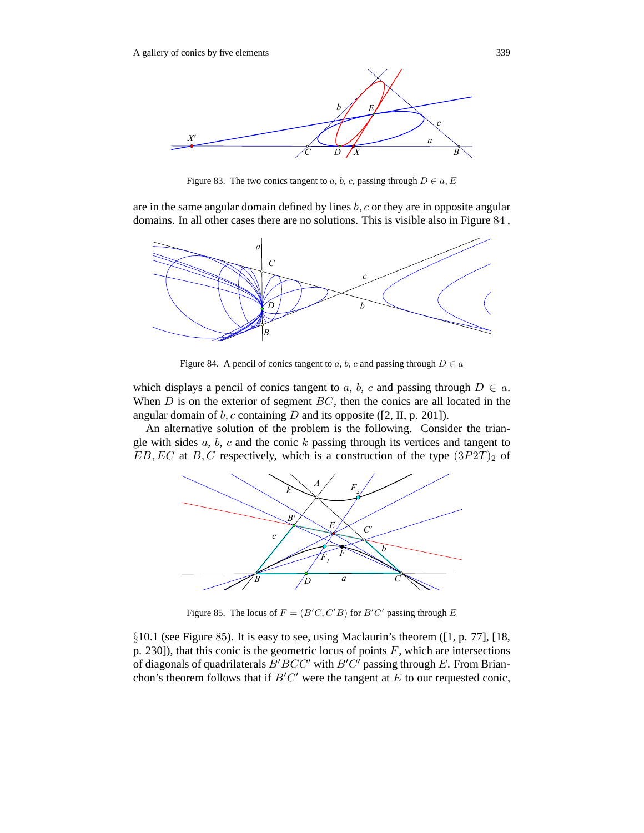

Figure 83. The two conics tangent to a, b, c, passing through  $D \in a, E$ 

are in the same angular domain defined by lines  $b, c$  or they are in opposite angular domains. In all other cases there are no solutions. This is visible also in Figure 84 ,



Figure 84. A pencil of conics tangent to a, b, c and passing through  $D \in a$ 

which displays a pencil of conics tangent to a, b, c and passing through  $D \in a$ . When  $D$  is on the exterior of segment  $BC$ , then the conics are all located in the angular domain of  $b$ ,  $c$  containing  $D$  and its opposite ([2, II, p. 201]).

An alternative solution of the problem is the following. Consider the triangle with sides  $a, b, c$  and the conic  $k$  passing through its vertices and tangent to  $EB, EC$  at  $B, C$  respectively, which is a construction of the type  $(3P2T)_2$  of



Figure 85. The locus of  $F = (B'C, C'B)$  for  $B'C'$  passing through E

§10.1 (see Figure 85). It is easy to see, using Maclaurin's theorem ([1, p. 77], [18, p. 230]), that this conic is the geometric locus of points  $F$ , which are intersections of diagonals of quadrilaterals  $B^{\prime}BCC^{\prime}$  with  $B^{\prime}C^{\prime}$  passing through E. From Brianchon's theorem follows that if  $B'C'$  were the tangent at E to our requested conic,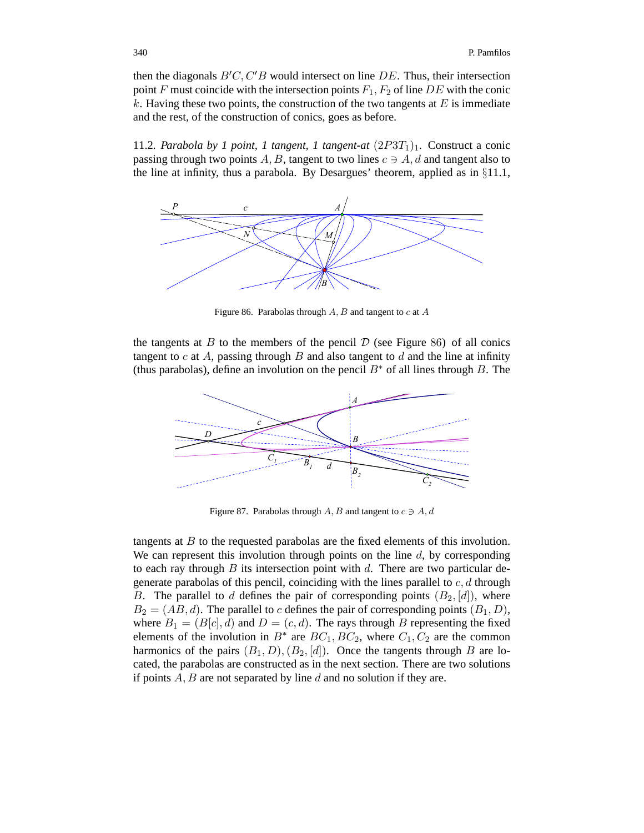then the diagonals  $B'C, C'B$  would intersect on line DE. Thus, their intersection point F must coincide with the intersection points  $F_1, F_2$  of line DE with the conic  $k$ . Having these two points, the construction of the two tangents at  $E$  is immediate and the rest, of the construction of conics, goes as before.

11.2*. Parabola by 1 point, 1 tangent, 1 tangent-at*  $(2P3T_1)_1$ *.* Construct a conic passing through two points A, B, tangent to two lines  $c \ni A$ , d and tangent also to the line at infinity, thus a parabola. By Desargues' theorem, applied as in §11.1,



Figure 86. Parabolas through  $A, B$  and tangent to  $c$  at  $A$ 

the tangents at B to the members of the pencil  $D$  (see Figure 86) of all conics tangent to c at A, passing through B and also tangent to d and the line at infinity (thus parabolas), define an involution on the pencil  $B^*$  of all lines through B. The



Figure 87. Parabolas through  $A, B$  and tangent to  $c \ni A, d$ 

tangents at B to the requested parabolas are the fixed elements of this involution. We can represent this involution through points on the line  $d$ , by corresponding to each ray through B its intersection point with d. There are two particular degenerate parabolas of this pencil, coinciding with the lines parallel to  $c, d$  through B. The parallel to d defines the pair of corresponding points  $(B_2, \lbrack d \rbrack)$ , where  $B_2 = (AB, d)$ . The parallel to c defines the pair of corresponding points  $(B_1, D)$ , where  $B_1 = (B[c], d)$  and  $D = (c, d)$ . The rays through B representing the fixed elements of the involution in  $B^*$  are  $BC_1, BC_2$ , where  $C_1, C_2$  are the common harmonics of the pairs  $(B_1, D), (B_2, [d])$ . Once the tangents through B are located, the parabolas are constructed as in the next section. There are two solutions if points  $A, B$  are not separated by line  $d$  and no solution if they are.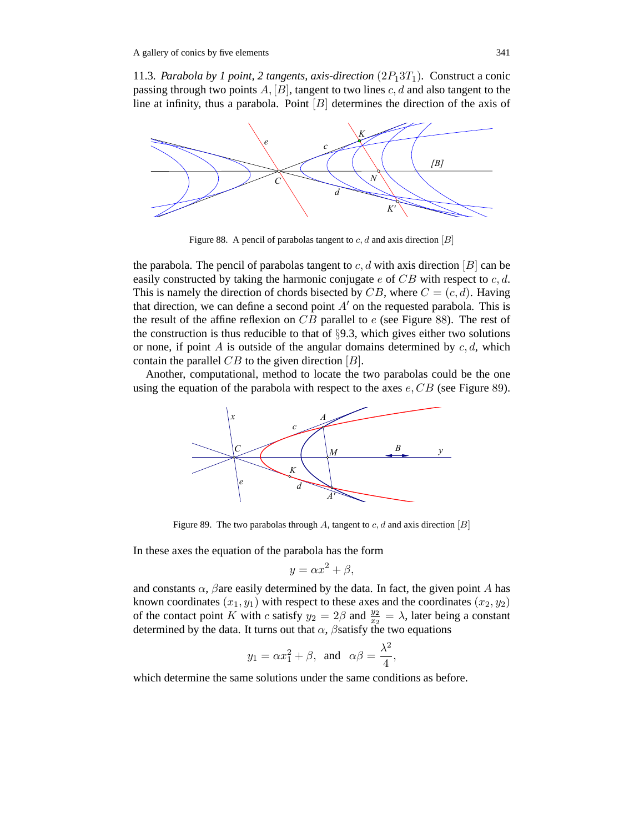11.3*. Parabola by 1 point, 2 tangents, axis-direction*  $(2P_13T_1)$ *.* Construct a conic passing through two points  $A$ ,  $[B]$ , tangent to two lines  $c$ ,  $d$  and also tangent to the line at infinity, thus a parabola. Point  $[B]$  determines the direction of the axis of



Figure 88. A pencil of parabolas tangent to  $c, d$  and axis direction [B]

the parabola. The pencil of parabolas tangent to  $c, d$  with axis direction  $[B]$  can be easily constructed by taking the harmonic conjugate  $e$  of  $CB$  with respect to  $c, d$ . This is namely the direction of chords bisected by  $CB$ , where  $C = (c, d)$ . Having that direction, we can define a second point  $A'$  on the requested parabola. This is the result of the affine reflexion on  $CB$  parallel to  $e$  (see Figure 88). The rest of the construction is thus reducible to that of  $\S$ 9.3, which gives either two solutions or none, if point A is outside of the angular domains determined by  $c, d$ , which contain the parallel  $CB$  to the given direction  $[B]$ .

Another, computational, method to locate the two parabolas could be the one using the equation of the parabola with respect to the axes  $e$ ,  $CB$  (see Figure 89).



Figure 89. The two parabolas through A, tangent to  $c, d$  and axis direction [B]

In these axes the equation of the parabola has the form

$$
y = \alpha x^2 + \beta,
$$

and constants  $\alpha$ ,  $\beta$ are easily determined by the data. In fact, the given point A has known coordinates  $(x_1, y_1)$  with respect to these axes and the coordinates  $(x_2, y_2)$ of the contact point K with c satisfy  $y_2 = 2\beta$  and  $\frac{y_2}{x_2} = \lambda$ , later being a constant determined by the data. It turns out that  $\alpha$ ,  $\beta$ satisfy the two equations

$$
y_1 = \alpha x_1^2 + \beta
$$
, and  $\alpha \beta = \frac{\lambda^2}{4}$ ,

which determine the same solutions under the same conditions as before.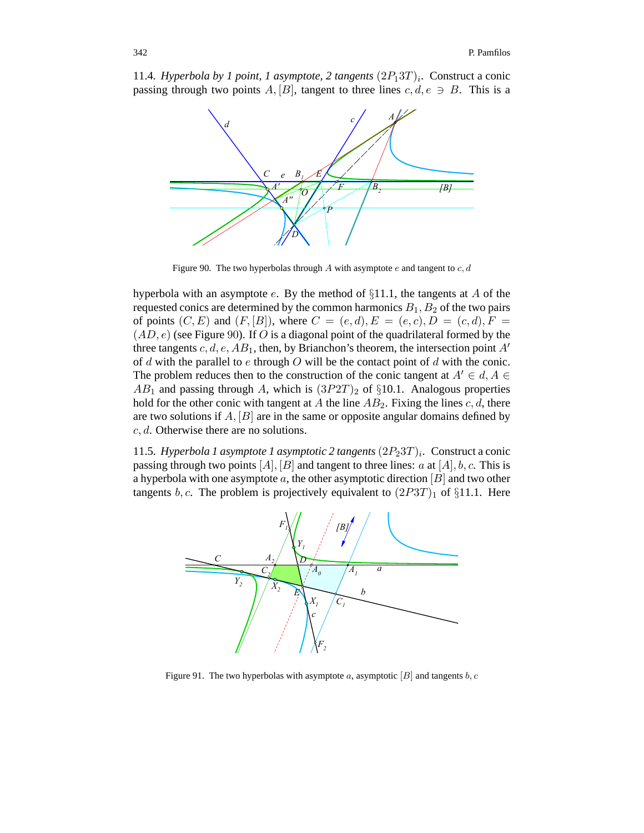



Figure 90. The two hyperbolas through A with asymptote  $e$  and tangent to  $c, d$ 

hyperbola with an asymptote e. By the method of  $\S11.1$ , the tangents at A of the requested conics are determined by the common harmonics  $B_1$ ,  $B_2$  of the two pairs of points  $(C, E)$  and  $(F, [B])$ , where  $C = (e, d), E = (e, c), D = (c, d), F =$  $(AD, e)$  (see Figure 90). If O is a diagonal point of the quadrilateral formed by the three tangents c, d, e,  $AB_1$ , then, by Brianchon's theorem, the intersection point  $A'$ of  $d$  with the parallel to  $e$  through  $O$  will be the contact point of  $d$  with the conic. The problem reduces then to the construction of the conic tangent at  $A' \in d, A \in$  $AB_1$  and passing through A, which is  $(3P2T)_2$  of §10.1. Analogous properties hold for the other conic with tangent at A the line  $AB_2$ . Fixing the lines c, d, there are two solutions if  $A$ ,  $[B]$  are in the same or opposite angular domains defined by c, d. Otherwise there are no solutions.

11.5*. Hyperbola 1 asymptote 1 asymptotic 2 tangents*  $(2P_23T)_i$ *.* Construct a conic passing through two points  $[A], [B]$  and tangent to three lines: a at  $[A], b, c$ . This is a hyperbola with one asymptote  $a$ , the other asymptotic direction  $[B]$  and two other tangents b, c. The problem is projectively equivalent to  $(2P3T)_1$  of §11.1. Here



Figure 91. The two hyperbolas with asymptote a, asymptotic  $[B]$  and tangents b, c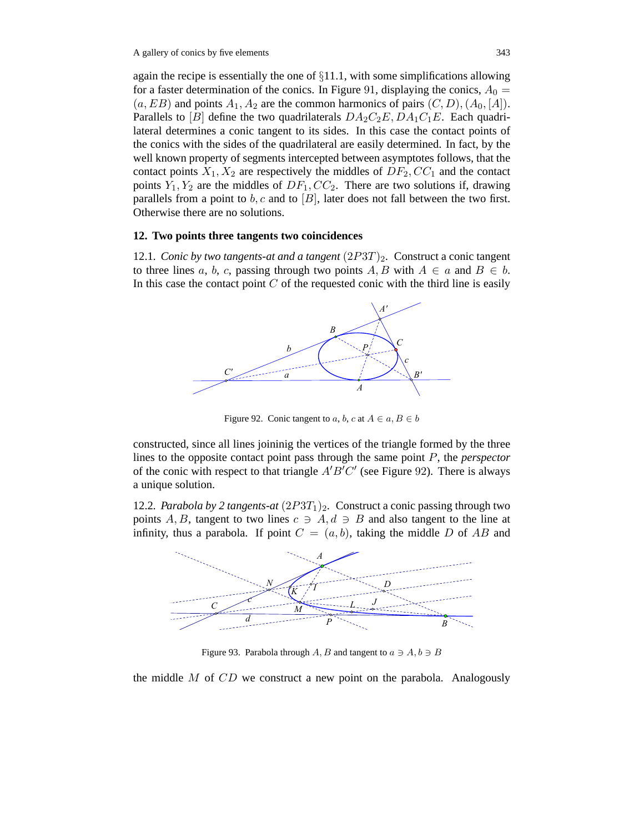again the recipe is essentially the one of  $\S 11.1$ , with some simplifications allowing for a faster determination of the conics. In Figure 91, displaying the conics,  $A_0 =$  $(a, EB)$  and points  $A_1, A_2$  are the common harmonics of pairs  $(C, D), (A_0, [A]).$ Parallels to [B] define the two quadrilaterals  $DA_2C_2E$ ,  $DA_1C_1E$ . Each quadrilateral determines a conic tangent to its sides. In this case the contact points of the conics with the sides of the quadrilateral are easily determined. In fact, by the well known property of segments intercepted between asymptotes follows, that the contact points  $X_1, X_2$  are respectively the middles of  $DF_2, CC_1$  and the contact points  $Y_1, Y_2$  are the middles of  $DF_1, CC_2$ . There are two solutions if, drawing parallels from a point to  $b, c$  and to  $[B]$ , later does not fall between the two first. Otherwise there are no solutions.

# **12. Two points three tangents two coincidences**

12.1*. Conic by two tangents-at and a tangent* (2P3T)2*.* Construct a conic tangent to three lines a, b, c, passing through two points  $A, B$  with  $A \in a$  and  $B \in b$ . In this case the contact point  $C$  of the requested conic with the third line is easily



Figure 92. Conic tangent to a, b, c at  $A \in a, B \in b$ 

constructed, since all lines joininig the vertices of the triangle formed by the three lines to the opposite contact point pass through the same point P, the *perspector* of the conic with respect to that triangle  $A'B'C'$  (see Figure 92). There is always a unique solution.

12.2*. Parabola by 2 tangents-at*  $(2P3T_1)_2$ *.* Construct a conic passing through two points A, B, tangent to two lines  $c \ni A, d \ni B$  and also tangent to the line at infinity, thus a parabola. If point  $C = (a, b)$ , taking the middle D of AB and



Figure 93. Parabola through  $A, B$  and tangent to  $a \ni A, b \ni B$ 

the middle  $M$  of  $CD$  we construct a new point on the parabola. Analogously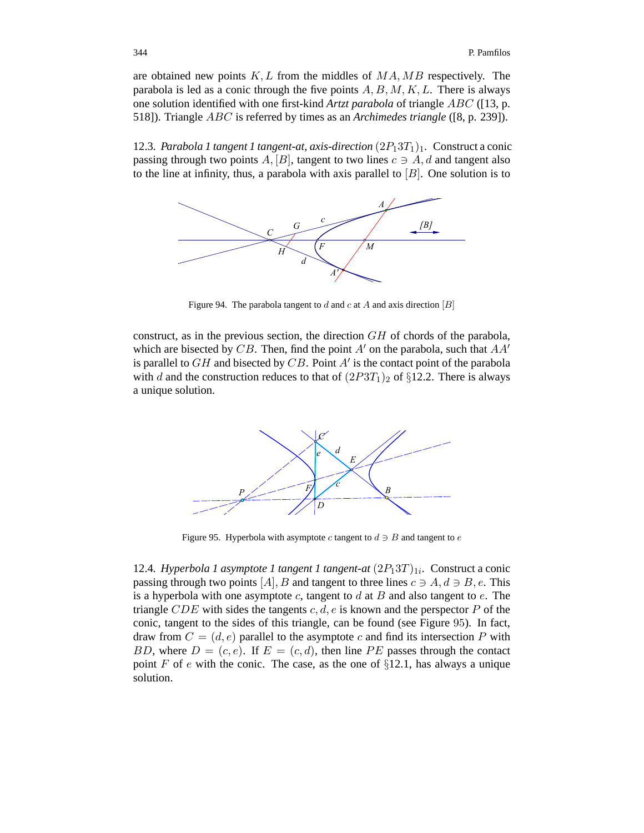are obtained new points  $K, L$  from the middles of  $MA, MB$  respectively. The parabola is led as a conic through the five points  $A, B, M, K, L$ . There is always one solution identified with one first-kind *Artzt parabola* of triangle ABC ([13, p. 518]). Triangle ABC is referred by times as an *Archimedes triangle* ([8, p. 239]).

12.3. Parabola 1 tangent 1 tangent-at, axis-direction  $(2P_13T_1)_1$ . Construct a conic passing through two points  $A, [B]$ , tangent to two lines  $c \ni A, d$  and tangent also to the line at infinity, thus, a parabola with axis parallel to  $[B]$ . One solution is to



Figure 94. The parabola tangent to  $d$  and  $c$  at  $A$  and axis direction  $[B]$ 

construct, as in the previous section, the direction GH of chords of the parabola, which are bisected by CB. Then, find the point  $A'$  on the parabola, such that  $AA'$ is parallel to  $GH$  and bisected by  $CB$ . Point A' is the contact point of the parabola with d and the construction reduces to that of  $(2P3T_1)_2$  of §12.2. There is always a unique solution.



Figure 95. Hyperbola with asymptote c tangent to  $d \ni B$  and tangent to e

12.4*. Hyperbola 1 asymptote 1 tangent 1 tangent-at*  $(2P_13T)_{1i}$ . Construct a conic passing through two points [A], B and tangent to three lines  $c \ni A, d \ni B, e$ . This is a hyperbola with one asymptote  $c$ , tangent to  $d$  at  $B$  and also tangent to  $e$ . The triangle CDE with sides the tangents c, d, e is known and the perspector  $P$  of the conic, tangent to the sides of this triangle, can be found (see Figure 95). In fact, draw from  $C = (d, e)$  parallel to the asymptote c and find its intersection P with BD, where  $D = (c, e)$ . If  $E = (c, d)$ , then line PE passes through the contact point F of e with the conic. The case, as the one of  $\S 12.1$ , has always a unique solution.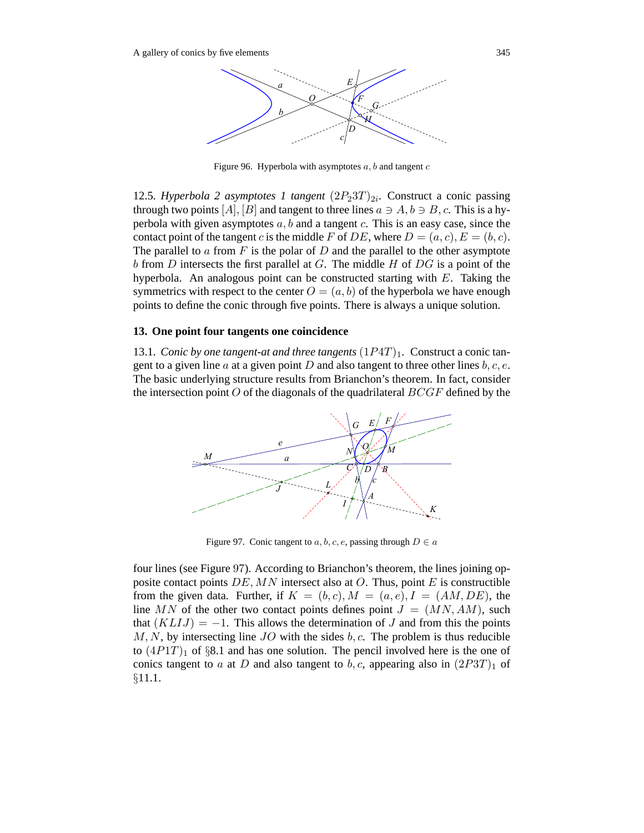

Figure 96. Hyperbola with asymptotes  $a, b$  and tangent  $c$ 

12.5*. Hyperbola 2 asymptotes 1 tangent*  $(2P_23T)_{2i}$ *.* Construct a conic passing through two points  $[A], [B]$  and tangent to three lines  $a \ni A, b \ni B, c$ . This is a hyperbola with given asymptotes  $a, b$  and a tangent  $c$ . This is an easy case, since the contact point of the tangent c is the middle F of DE, where  $D = (a, c), E = (b, c)$ . The parallel to a from  $F$  is the polar of  $D$  and the parallel to the other asymptote b from  $D$  intersects the first parallel at  $G$ . The middle  $H$  of  $DG$  is a point of the hyperbola. An analogous point can be constructed starting with  $E$ . Taking the symmetrics with respect to the center  $O = (a, b)$  of the hyperbola we have enough points to define the conic through five points. There is always a unique solution.

#### **13. One point four tangents one coincidence**

13.1*. Conic by one tangent-at and three tangents*  $(1P4T)_1$ *.* Construct a conic tangent to a given line a at a given point D and also tangent to three other lines  $b, c, e$ . The basic underlying structure results from Brianchon's theorem. In fact, consider the intersection point  $O$  of the diagonals of the quadrilateral  $BCGF$  defined by the



Figure 97. Conic tangent to  $a, b, c, e$ , passing through  $D \in a$ 

four lines (see Figure 97). According to Brianchon's theorem, the lines joining opposite contact points  $DE$ , MN intersect also at O. Thus, point E is constructible from the given data. Further, if  $K = (b, c), M = (a, e), I = (AM, DE)$ , the line MN of the other two contact points defines point  $J = (MN, AM)$ , such that  $(KLIJ) = -1$ . This allows the determination of J and from this the points  $M, N$ , by intersecting line  $JO$  with the sides  $b, c$ . The problem is thus reducible to  $(4P1T)_1$  of §8.1 and has one solution. The pencil involved here is the one of conics tangent to a at D and also tangent to b, c, appearing also in  $(2P3T)<sub>1</sub>$  of §11.1.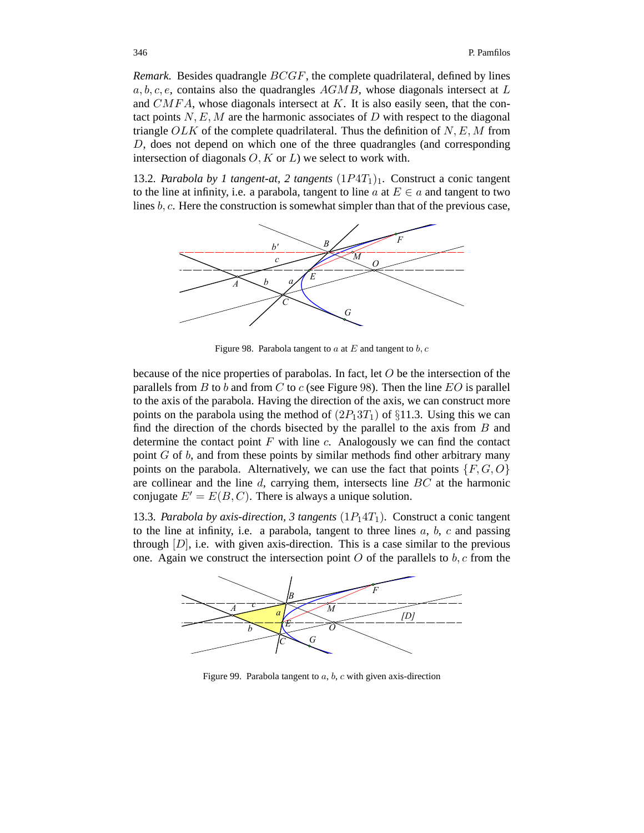*Remark.* Besides quadrangle  $BCGF$ , the complete quadrilateral, defined by lines  $a, b, c, e$ , contains also the quadrangles  $AGMB$ , whose diagonals intersect at L and  $CMFA$ , whose diagonals intersect at K. It is also easily seen, that the contact points  $N, E, M$  are the harmonic associates of D with respect to the diagonal triangle OLK of the complete quadrilateral. Thus the definition of  $N, E, M$  from D, does not depend on which one of the three quadrangles (and corresponding intersection of diagonals  $O, K$  or  $L$ ) we select to work with.

13.2*. Parabola by 1 tangent-at, 2 tangents*  $(1P4T_1)_1$ *.* Construct a conic tangent to the line at infinity, i.e. a parabola, tangent to line  $a$  at  $E \in a$  and tangent to two lines b, c. Here the construction is somewhat simpler than that of the previous case,



Figure 98. Parabola tangent to a at E and tangent to b, c

because of the nice properties of parabolas. In fact, let  $O$  be the intersection of the parallels from  $B$  to  $b$  and from  $C$  to  $c$  (see Figure 98). Then the line  $EO$  is parallel to the axis of the parabola. Having the direction of the axis, we can construct more points on the parabola using the method of  $(2P_13T_1)$  of §11.3. Using this we can find the direction of the chords bisected by the parallel to the axis from  $B$  and determine the contact point  $F$  with line  $c$ . Analogously we can find the contact point  $G$  of  $b$ , and from these points by similar methods find other arbitrary many points on the parabola. Alternatively, we can use the fact that points  $\{F, G, O\}$ are collinear and the line  $d$ , carrying them, intersects line  $BC$  at the harmonic conjugate  $E' = E(B, C)$ . There is always a unique solution.

13.3*. Parabola by axis-direction, 3 tangents*  $(1P_14T_1)$ *.* Construct a conic tangent to the line at infinity, i.e. a parabola, tangent to three lines  $a, b, c$  and passing through  $[D]$ , i.e. with given axis-direction. This is a case similar to the previous one. Again we construct the intersection point O of the parallels to  $b, c$  from the



Figure 99. Parabola tangent to  $a, b, c$  with given axis-direction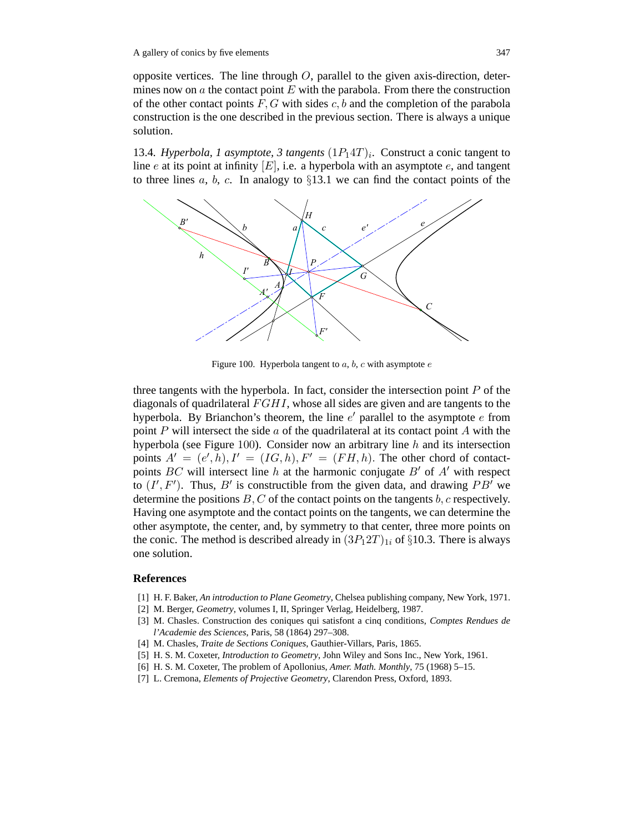opposite vertices. The line through  $O$ , parallel to the given axis-direction, determines now on  $\alpha$  the contact point  $E$  with the parabola. From there the construction of the other contact points  $F, G$  with sides  $c, b$  and the completion of the parabola construction is the one described in the previous section. There is always a unique solution.

13.4*. Hyperbola, 1 asymptote, 3 tangents*  $(1P_14T)_i$ *.* Construct a conic tangent to line e at its point at infinity  $[E]$ , i.e. a hyperbola with an asymptote e, and tangent to three lines a, b, c. In analogy to  $\S 13.1$  we can find the contact points of the



Figure 100. Hyperbola tangent to  $a, b, c$  with asymptote  $e$ 

three tangents with the hyperbola. In fact, consider the intersection point  $P$  of the diagonals of quadrilateral  $FGHI$ , whose all sides are given and are tangents to the hyperbola. By Brianchon's theorem, the line  $e'$  parallel to the asymptote  $e$  from point P will intersect the side a of the quadrilateral at its contact point A with the hyperbola (see Figure 100). Consider now an arbitrary line  $h$  and its intersection points  $A' = (e', h), I' = (IG, h), F' = (FH, h)$ . The other chord of contactpoints BC will intersect line h at the harmonic conjugate B' of A' with respect to  $(I', F')$ . Thus, B' is constructible from the given data, and drawing PB' we determine the positions  $B, C$  of the contact points on the tangents  $b, c$  respectively. Having one asymptote and the contact points on the tangents, we can determine the other asymptote, the center, and, by symmetry to that center, three more points on the conic. The method is described already in  $(3P_12T)_{1i}$  of §10.3. There is always one solution.

## **References**

- [1] H. F. Baker, *An introduction to Plane Geometry*, Chelsea publishing company, New York, 1971.
- [2] M. Berger, *Geometry*, volumes I, II, Springer Verlag, Heidelberg, 1987.
- [3] M. Chasles. Construction des coniques qui satisfont a cinq conditions, *Comptes Rendues de l'Academie des Sciences*, Paris, 58 (1864) 297–308.
- [4] M. Chasles, *Traite de Sections Coniques*, Gauthier-Villars, Paris, 1865.
- [5] H. S. M. Coxeter, *Introduction to Geometry*, John Wiley and Sons Inc., New York, 1961.
- [6] H. S. M. Coxeter, The problem of Apollonius, *Amer. Math. Monthly*, 75 (1968) 5–15.
- [7] L. Cremona, *Elements of Projective Geometry*, Clarendon Press, Oxford, 1893.